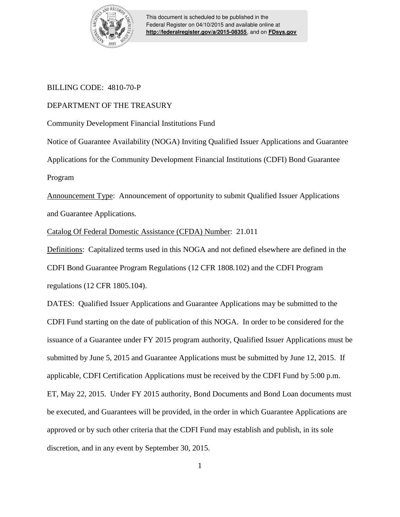

This document is scheduled to be published in the Federal Register on 04/10/2015 and available online at **<http://federalregister.gov/a/2015-08355>**, and on **[FDsys.gov](http://federalregister.gov/a/2015-08355.pdf)**

# BILLING CODE: 4810-70-P

# DEPARTMENT OF THE TREASURY

Community Development Financial Institutions Fund

Notice of Guarantee Availability (NOGA) Inviting Qualified Issuer Applications and Guarantee Applications for the Community Development Financial Institutions (CDFI) Bond Guarantee Program

Announcement Type: Announcement of opportunity to submit Qualified Issuer Applications and Guarantee Applications.

# Catalog Of Federal Domestic Assistance (CFDA) Number: 21.011

Definitions: Capitalized terms used in this NOGA and not defined elsewhere are defined in the CDFI Bond Guarantee Program Regulations (12 CFR 1808.102) and the CDFI Program regulations (12 CFR 1805.104).

DATES: Qualified Issuer Applications and Guarantee Applications may be submitted to the CDFI Fund starting on the date of publication of this NOGA. In order to be considered for the issuance of a Guarantee under FY 2015 program authority, Qualified Issuer Applications must be submitted by June 5, 2015 and Guarantee Applications must be submitted by June 12, 2015. If applicable, CDFI Certification Applications must be received by the CDFI Fund by 5:00 p.m. ET, May 22, 2015. Under FY 2015 authority, Bond Documents and Bond Loan documents must be executed, and Guarantees will be provided, in the order in which Guarantee Applications are approved or by such other criteria that the CDFI Fund may establish and publish, in its sole discretion, and in any event by September 30, 2015.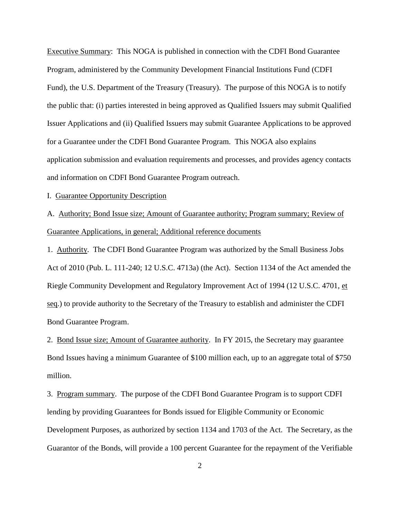Executive Summary: This NOGA is published in connection with the CDFI Bond Guarantee Program, administered by the Community Development Financial Institutions Fund (CDFI Fund), the U.S. Department of the Treasury (Treasury). The purpose of this NOGA is to notify the public that: (i) parties interested in being approved as Qualified Issuers may submit Qualified Issuer Applications and (ii) Qualified Issuers may submit Guarantee Applications to be approved for a Guarantee under the CDFI Bond Guarantee Program. This NOGA also explains application submission and evaluation requirements and processes, and provides agency contacts and information on CDFI Bond Guarantee Program outreach.

# I. Guarantee Opportunity Description

A. Authority; Bond Issue size; Amount of Guarantee authority; Program summary; Review of Guarantee Applications, in general; Additional reference documents

1. Authority. The CDFI Bond Guarantee Program was authorized by the Small Business Jobs Act of 2010 (Pub. L. 111-240; 12 U.S.C. 4713a) (the Act). Section 1134 of the Act amended the Riegle Community Development and Regulatory Improvement Act of 1994 (12 U.S.C. 4701, et seq.) to provide authority to the Secretary of the Treasury to establish and administer the CDFI Bond Guarantee Program.

2. Bond Issue size; Amount of Guarantee authority. In FY 2015, the Secretary may guarantee Bond Issues having a minimum Guarantee of \$100 million each, up to an aggregate total of \$750 million.

3. Program summary. The purpose of the CDFI Bond Guarantee Program is to support CDFI lending by providing Guarantees for Bonds issued for Eligible Community or Economic Development Purposes, as authorized by section 1134 and 1703 of the Act. The Secretary, as the Guarantor of the Bonds, will provide a 100 percent Guarantee for the repayment of the Verifiable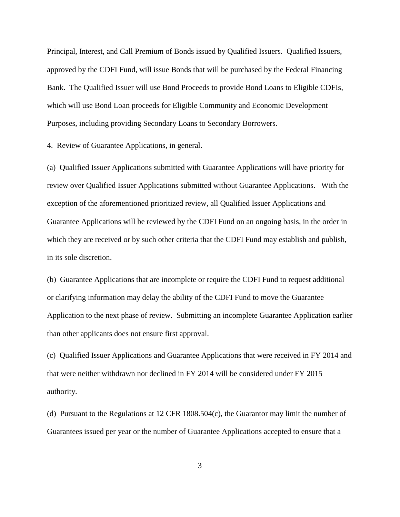Principal, Interest, and Call Premium of Bonds issued by Qualified Issuers. Qualified Issuers, approved by the CDFI Fund, will issue Bonds that will be purchased by the Federal Financing Bank. The Qualified Issuer will use Bond Proceeds to provide Bond Loans to Eligible CDFIs, which will use Bond Loan proceeds for Eligible Community and Economic Development Purposes, including providing Secondary Loans to Secondary Borrowers.

## 4. Review of Guarantee Applications, in general.

(a) Qualified Issuer Applications submitted with Guarantee Applications will have priority for review over Qualified Issuer Applications submitted without Guarantee Applications. With the exception of the aforementioned prioritized review, all Qualified Issuer Applications and Guarantee Applications will be reviewed by the CDFI Fund on an ongoing basis, in the order in which they are received or by such other criteria that the CDFI Fund may establish and publish, in its sole discretion.

(b) Guarantee Applications that are incomplete or require the CDFI Fund to request additional or clarifying information may delay the ability of the CDFI Fund to move the Guarantee Application to the next phase of review. Submitting an incomplete Guarantee Application earlier than other applicants does not ensure first approval.

(c) Qualified Issuer Applications and Guarantee Applications that were received in FY 2014 and that were neither withdrawn nor declined in FY 2014 will be considered under FY 2015 authority.

(d) Pursuant to the Regulations at 12 CFR 1808.504(c), the Guarantor may limit the number of Guarantees issued per year or the number of Guarantee Applications accepted to ensure that a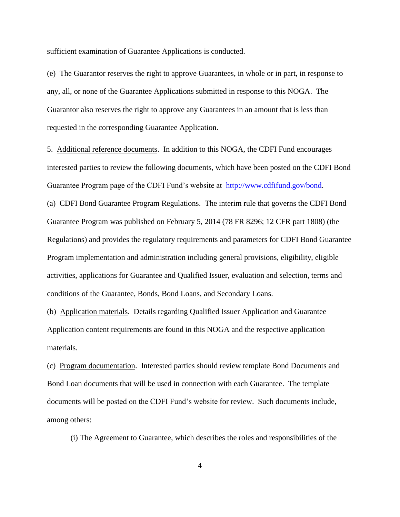sufficient examination of Guarantee Applications is conducted.

(e) The Guarantor reserves the right to approve Guarantees, in whole or in part, in response to any, all, or none of the Guarantee Applications submitted in response to this NOGA. The Guarantor also reserves the right to approve any Guarantees in an amount that is less than requested in the corresponding Guarantee Application.

5. Additional reference documents. In addition to this NOGA, the CDFI Fund encourages interested parties to review the following documents, which have been posted on the CDFI Bond Guarantee Program page of the CDFI Fund's website at [http://www.cdfifund.gov/bond.](http://www.cdfifund.gov/bond)

(a) CDFI Bond Guarantee Program Regulations. The interim rule that governs the CDFI Bond Guarantee Program was published on February 5, 2014 (78 FR 8296; 12 CFR part 1808) (the Regulations) and provides the regulatory requirements and parameters for CDFI Bond Guarantee Program implementation and administration including general provisions, eligibility, eligible activities, applications for Guarantee and Qualified Issuer, evaluation and selection, terms and conditions of the Guarantee, Bonds, Bond Loans, and Secondary Loans.

(b) Application materials. Details regarding Qualified Issuer Application and Guarantee Application content requirements are found in this NOGA and the respective application materials.

(c) Program documentation. Interested parties should review template Bond Documents and Bond Loan documents that will be used in connection with each Guarantee. The template documents will be posted on the CDFI Fund's website for review. Such documents include, among others:

(i) The Agreement to Guarantee, which describes the roles and responsibilities of the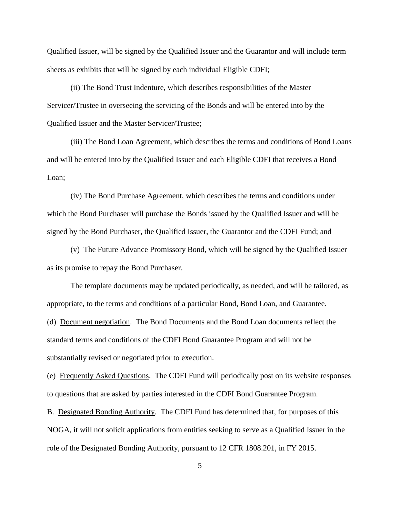Qualified Issuer, will be signed by the Qualified Issuer and the Guarantor and will include term sheets as exhibits that will be signed by each individual Eligible CDFI;

(ii) The Bond Trust Indenture, which describes responsibilities of the Master Servicer/Trustee in overseeing the servicing of the Bonds and will be entered into by the Qualified Issuer and the Master Servicer/Trustee;

(iii) The Bond Loan Agreement, which describes the terms and conditions of Bond Loans and will be entered into by the Qualified Issuer and each Eligible CDFI that receives a Bond Loan;

(iv) The Bond Purchase Agreement, which describes the terms and conditions under which the Bond Purchaser will purchase the Bonds issued by the Qualified Issuer and will be signed by the Bond Purchaser, the Qualified Issuer, the Guarantor and the CDFI Fund; and

(v) The Future Advance Promissory Bond, which will be signed by the Qualified Issuer as its promise to repay the Bond Purchaser.

The template documents may be updated periodically, as needed, and will be tailored, as appropriate, to the terms and conditions of a particular Bond, Bond Loan, and Guarantee. (d) Document negotiation. The Bond Documents and the Bond Loan documents reflect the standard terms and conditions of the CDFI Bond Guarantee Program and will not be substantially revised or negotiated prior to execution.

(e) Frequently Asked Questions. The CDFI Fund will periodically post on its website responses to questions that are asked by parties interested in the CDFI Bond Guarantee Program.

B. Designated Bonding Authority. The CDFI Fund has determined that, for purposes of this NOGA, it will not solicit applications from entities seeking to serve as a Qualified Issuer in the role of the Designated Bonding Authority, pursuant to 12 CFR 1808.201, in FY 2015.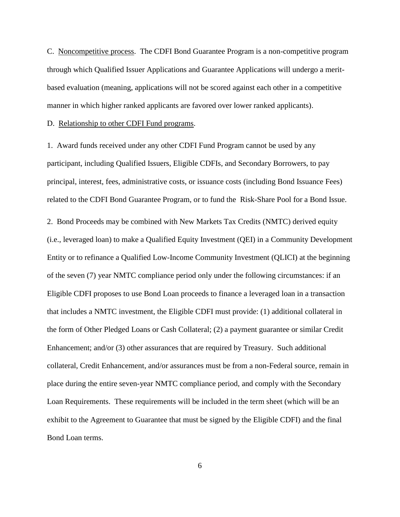C. Noncompetitive process. The CDFI Bond Guarantee Program is a non-competitive program through which Qualified Issuer Applications and Guarantee Applications will undergo a meritbased evaluation (meaning, applications will not be scored against each other in a competitive manner in which higher ranked applicants are favored over lower ranked applicants).

D. Relationship to other CDFI Fund programs.

1. Award funds received under any other CDFI Fund Program cannot be used by any participant, including Qualified Issuers, Eligible CDFIs, and Secondary Borrowers, to pay principal, interest, fees, administrative costs, or issuance costs (including Bond Issuance Fees) related to the CDFI Bond Guarantee Program, or to fund the Risk-Share Pool for a Bond Issue.

2. Bond Proceeds may be combined with New Markets Tax Credits (NMTC) derived equity (i.e., leveraged loan) to make a Qualified Equity Investment (QEI) in a Community Development Entity or to refinance a Qualified Low-Income Community Investment (QLICI) at the beginning of the seven (7) year NMTC compliance period only under the following circumstances: if an Eligible CDFI proposes to use Bond Loan proceeds to finance a leveraged loan in a transaction that includes a NMTC investment, the Eligible CDFI must provide: (1) additional collateral in the form of Other Pledged Loans or Cash Collateral; (2) a payment guarantee or similar Credit Enhancement; and/or (3) other assurances that are required by Treasury. Such additional collateral, Credit Enhancement, and/or assurances must be from a non-Federal source, remain in place during the entire seven-year NMTC compliance period, and comply with the Secondary Loan Requirements. These requirements will be included in the term sheet (which will be an exhibit to the Agreement to Guarantee that must be signed by the Eligible CDFI) and the final Bond Loan terms.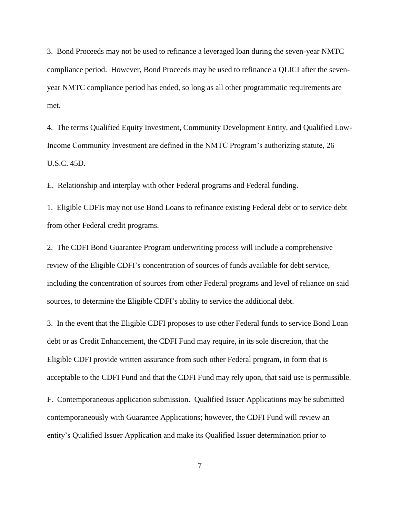3. Bond Proceeds may not be used to refinance a leveraged loan during the seven-year NMTC compliance period. However, Bond Proceeds may be used to refinance a QLICI after the sevenyear NMTC compliance period has ended, so long as all other programmatic requirements are met.

4. The terms Qualified Equity Investment, Community Development Entity, and Qualified Low-Income Community Investment are defined in the NMTC Program's authorizing statute, 26 U.S.C. 45D.

E. Relationship and interplay with other Federal programs and Federal funding.

1. Eligible CDFIs may not use Bond Loans to refinance existing Federal debt or to service debt from other Federal credit programs.

2. The CDFI Bond Guarantee Program underwriting process will include a comprehensive review of the Eligible CDFI's concentration of sources of funds available for debt service, including the concentration of sources from other Federal programs and level of reliance on said sources, to determine the Eligible CDFI's ability to service the additional debt.

3. In the event that the Eligible CDFI proposes to use other Federal funds to service Bond Loan debt or as Credit Enhancement, the CDFI Fund may require, in its sole discretion, that the Eligible CDFI provide written assurance from such other Federal program, in form that is acceptable to the CDFI Fund and that the CDFI Fund may rely upon, that said use is permissible.

F. Contemporaneous application submission. Qualified Issuer Applications may be submitted contemporaneously with Guarantee Applications; however, the CDFI Fund will review an entity's Qualified Issuer Application and make its Qualified Issuer determination prior to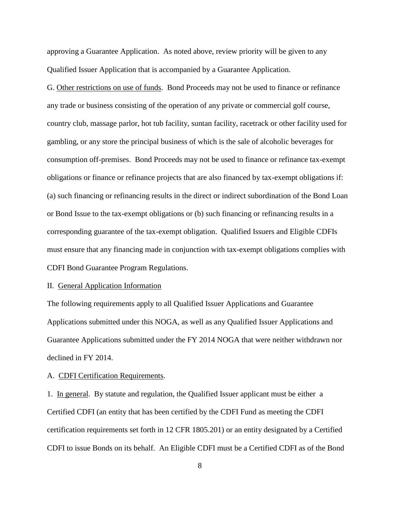approving a Guarantee Application. As noted above, review priority will be given to any Qualified Issuer Application that is accompanied by a Guarantee Application.

G. Other restrictions on use of funds. Bond Proceeds may not be used to finance or refinance any trade or business consisting of the operation of any private or commercial golf course, country club, massage parlor, hot tub facility, suntan facility, racetrack or other facility used for gambling, or any store the principal business of which is the sale of alcoholic beverages for consumption off-premises. Bond Proceeds may not be used to finance or refinance tax-exempt obligations or finance or refinance projects that are also financed by tax-exempt obligations if: (a) such financing or refinancing results in the direct or indirect subordination of the Bond Loan or Bond Issue to the tax-exempt obligations or (b) such financing or refinancing results in a corresponding guarantee of the tax-exempt obligation. Qualified Issuers and Eligible CDFIs must ensure that any financing made in conjunction with tax-exempt obligations complies with CDFI Bond Guarantee Program Regulations.

### II. General Application Information

The following requirements apply to all Qualified Issuer Applications and Guarantee Applications submitted under this NOGA, as well as any Qualified Issuer Applications and Guarantee Applications submitted under the FY 2014 NOGA that were neither withdrawn nor declined in FY 2014.

### A. CDFI Certification Requirements.

1. In general. By statute and regulation, the Qualified Issuer applicant must be either a Certified CDFI (an entity that has been certified by the CDFI Fund as meeting the CDFI certification requirements set forth in 12 CFR 1805.201) or an entity designated by a Certified CDFI to issue Bonds on its behalf. An Eligible CDFI must be a Certified CDFI as of the Bond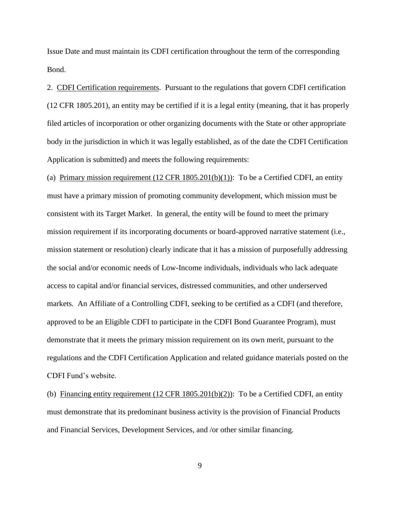Issue Date and must maintain its CDFI certification throughout the term of the corresponding Bond.

2. CDFI Certification requirements. Pursuant to the regulations that govern CDFI certification (12 CFR 1805.201), an entity may be certified if it is a legal entity (meaning, that it has properly filed articles of incorporation or other organizing documents with the State or other appropriate body in the jurisdiction in which it was legally established, as of the date the CDFI Certification Application is submitted) and meets the following requirements:

(a) Primary mission requirement  $(12 \text{ CFR } 1805.201(b)(1))$ : To be a Certified CDFI, an entity must have a primary mission of promoting community development, which mission must be consistent with its Target Market. In general, the entity will be found to meet the primary mission requirement if its incorporating documents or board-approved narrative statement (i.e., mission statement or resolution) clearly indicate that it has a mission of purposefully addressing the social and/or economic needs of Low-Income individuals, individuals who lack adequate access to capital and/or financial services, distressed communities, and other underserved markets. An Affiliate of a Controlling CDFI, seeking to be certified as a CDFI (and therefore, approved to be an Eligible CDFI to participate in the CDFI Bond Guarantee Program), must demonstrate that it meets the primary mission requirement on its own merit, pursuant to the regulations and the CDFI Certification Application and related guidance materials posted on the CDFI Fund's website.

(b) Financing entity requirement  $(12 \text{ CFR } 1805.201(b)(2))$ : To be a Certified CDFI, an entity must demonstrate that its predominant business activity is the provision of Financial Products and Financial Services, Development Services, and /or other similar financing.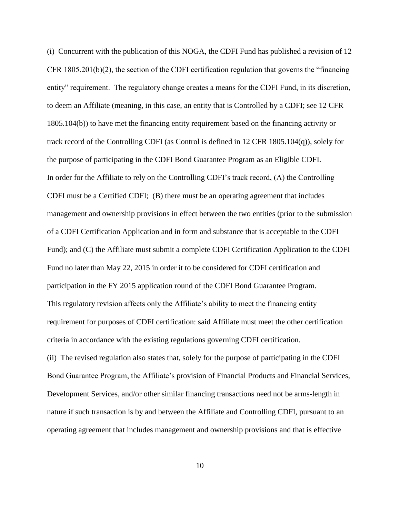(i) Concurrent with the publication of this NOGA, the CDFI Fund has published a revision of 12 CFR 1805.201(b)(2), the section of the CDFI certification regulation that governs the "financing entity" requirement. The regulatory change creates a means for the CDFI Fund, in its discretion, to deem an Affiliate (meaning, in this case, an entity that is Controlled by a CDFI; see 12 CFR 1805.104(b)) to have met the financing entity requirement based on the financing activity or track record of the Controlling CDFI (as Control is defined in 12 CFR 1805.104(q)), solely for the purpose of participating in the CDFI Bond Guarantee Program as an Eligible CDFI. In order for the Affiliate to rely on the Controlling CDFI's track record, (A) the Controlling CDFI must be a Certified CDFI; (B) there must be an operating agreement that includes management and ownership provisions in effect between the two entities (prior to the submission of a CDFI Certification Application and in form and substance that is acceptable to the CDFI Fund); and (C) the Affiliate must submit a complete CDFI Certification Application to the CDFI Fund no later than May 22, 2015 in order it to be considered for CDFI certification and participation in the FY 2015 application round of the CDFI Bond Guarantee Program. This regulatory revision affects only the Affiliate's ability to meet the financing entity requirement for purposes of CDFI certification: said Affiliate must meet the other certification criteria in accordance with the existing regulations governing CDFI certification. (ii) The revised regulation also states that, solely for the purpose of participating in the CDFI Bond Guarantee Program, the Affiliate's provision of Financial Products and Financial Services, Development Services, and/or other similar financing transactions need not be arms-length in nature if such transaction is by and between the Affiliate and Controlling CDFI, pursuant to an operating agreement that includes management and ownership provisions and that is effective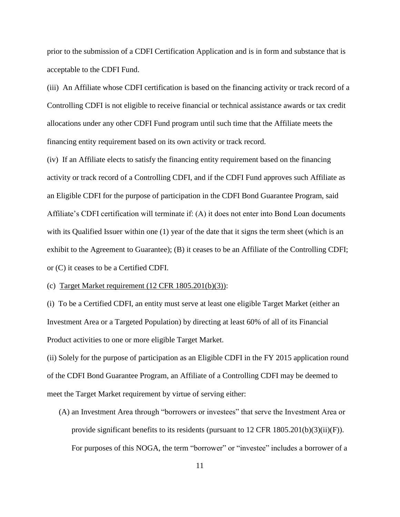prior to the submission of a CDFI Certification Application and is in form and substance that is acceptable to the CDFI Fund.

(iii) An Affiliate whose CDFI certification is based on the financing activity or track record of a Controlling CDFI is not eligible to receive financial or technical assistance awards or tax credit allocations under any other CDFI Fund program until such time that the Affiliate meets the financing entity requirement based on its own activity or track record.

(iv) If an Affiliate elects to satisfy the financing entity requirement based on the financing activity or track record of a Controlling CDFI, and if the CDFI Fund approves such Affiliate as an Eligible CDFI for the purpose of participation in the CDFI Bond Guarantee Program, said Affiliate's CDFI certification will terminate if: (A) it does not enter into Bond Loan documents with its Qualified Issuer within one (1) year of the date that it signs the term sheet (which is an exhibit to the Agreement to Guarantee); (B) it ceases to be an Affiliate of the Controlling CDFI; or (C) it ceases to be a Certified CDFI.

### (c) Target Market requirement  $(12 \text{ CFR } 1805.201(b)(3))$ :

(i) To be a Certified CDFI, an entity must serve at least one eligible Target Market (either an Investment Area or a Targeted Population) by directing at least 60% of all of its Financial Product activities to one or more eligible Target Market.

(ii) Solely for the purpose of participation as an Eligible CDFI in the FY 2015 application round of the CDFI Bond Guarantee Program, an Affiliate of a Controlling CDFI may be deemed to meet the Target Market requirement by virtue of serving either:

(A) an Investment Area through "borrowers or investees" that serve the Investment Area or provide significant benefits to its residents (pursuant to  $12$  CFR  $1805.201(b)(3)(ii)(F)$ ). For purposes of this NOGA, the term "borrower" or "investee" includes a borrower of a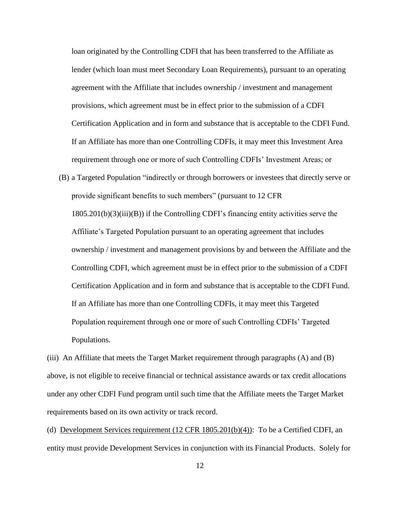loan originated by the Controlling CDFI that has been transferred to the Affiliate as lender (which loan must meet Secondary Loan Requirements), pursuant to an operating agreement with the Affiliate that includes ownership / investment and management provisions, which agreement must be in effect prior to the submission of a CDFI Certification Application and in form and substance that is acceptable to the CDFI Fund. If an Affiliate has more than one Controlling CDFIs, it may meet this Investment Area requirement through one or more of such Controlling CDFIs' Investment Areas; or

(B) a Targeted Population "indirectly or through borrowers or investees that directly serve or provide significant benefits to such members" (pursuant to 12 CFR  $1805.201(b)(3)(iii)(B)$  if the Controlling CDFI's financing entity activities serve the Affiliate's Targeted Population pursuant to an operating agreement that includes ownership / investment and management provisions by and between the Affiliate and the Controlling CDFI, which agreement must be in effect prior to the submission of a CDFI Certification Application and in form and substance that is acceptable to the CDFI Fund. If an Affiliate has more than one Controlling CDFIs, it may meet this Targeted Population requirement through one or more of such Controlling CDFIs' Targeted Populations.

(iii) An Affiliate that meets the Target Market requirement through paragraphs (A) and (B) above, is not eligible to receive financial or technical assistance awards or tax credit allocations under any other CDFI Fund program until such time that the Affiliate meets the Target Market requirements based on its own activity or track record.

(d) Development Services requirement (12 CFR 1805.201(b)(4)): To be a Certified CDFI, an entity must provide Development Services in conjunction with its Financial Products. Solely for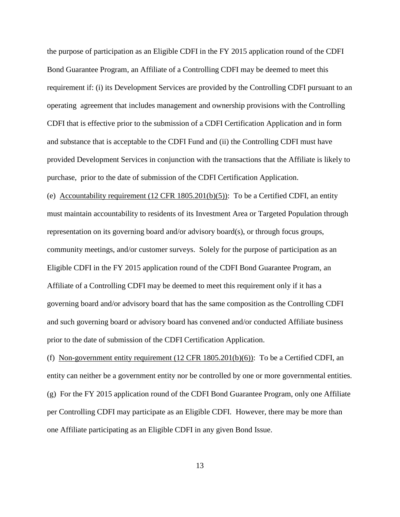the purpose of participation as an Eligible CDFI in the FY 2015 application round of the CDFI Bond Guarantee Program, an Affiliate of a Controlling CDFI may be deemed to meet this requirement if: (i) its Development Services are provided by the Controlling CDFI pursuant to an operating agreement that includes management and ownership provisions with the Controlling CDFI that is effective prior to the submission of a CDFI Certification Application and in form and substance that is acceptable to the CDFI Fund and (ii) the Controlling CDFI must have provided Development Services in conjunction with the transactions that the Affiliate is likely to purchase, prior to the date of submission of the CDFI Certification Application.

(e) Accountability requirement  $(12 \text{ CFR } 1805.201(b)(5))$ : To be a Certified CDFI, an entity must maintain accountability to residents of its Investment Area or Targeted Population through representation on its governing board and/or advisory board(s), or through focus groups, community meetings, and/or customer surveys. Solely for the purpose of participation as an Eligible CDFI in the FY 2015 application round of the CDFI Bond Guarantee Program, an Affiliate of a Controlling CDFI may be deemed to meet this requirement only if it has a governing board and/or advisory board that has the same composition as the Controlling CDFI and such governing board or advisory board has convened and/or conducted Affiliate business prior to the date of submission of the CDFI Certification Application.

(f) Non-government entity requirement  $(12 \text{ CFR } 1805.201(b)(6))$ : To be a Certified CDFI, an entity can neither be a government entity nor be controlled by one or more governmental entities. (g) For the FY 2015 application round of the CDFI Bond Guarantee Program, only one Affiliate per Controlling CDFI may participate as an Eligible CDFI. However, there may be more than one Affiliate participating as an Eligible CDFI in any given Bond Issue.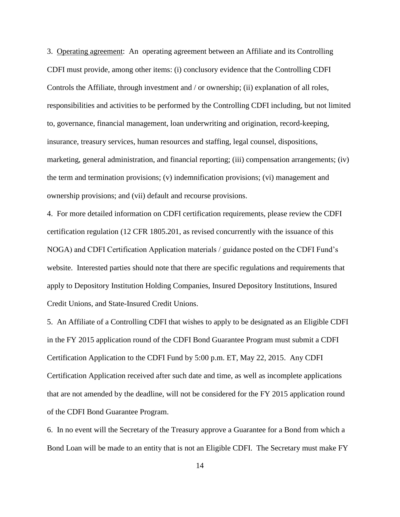3. Operating agreement: An operating agreement between an Affiliate and its Controlling CDFI must provide, among other items: (i) conclusory evidence that the Controlling CDFI Controls the Affiliate, through investment and / or ownership; (ii) explanation of all roles, responsibilities and activities to be performed by the Controlling CDFI including, but not limited to, governance, financial management, loan underwriting and origination, record-keeping, insurance, treasury services, human resources and staffing, legal counsel, dispositions, marketing, general administration, and financial reporting; (iii) compensation arrangements; (iv) the term and termination provisions; (v) indemnification provisions; (vi) management and ownership provisions; and (vii) default and recourse provisions.

4. For more detailed information on CDFI certification requirements, please review the CDFI certification regulation (12 CFR 1805.201, as revised concurrently with the issuance of this NOGA) and CDFI Certification Application materials / guidance posted on the CDFI Fund's website. Interested parties should note that there are specific regulations and requirements that apply to Depository Institution Holding Companies, Insured Depository Institutions, Insured Credit Unions, and State-Insured Credit Unions.

5. An Affiliate of a Controlling CDFI that wishes to apply to be designated as an Eligible CDFI in the FY 2015 application round of the CDFI Bond Guarantee Program must submit a CDFI Certification Application to the CDFI Fund by 5:00 p.m. ET, May 22, 2015. Any CDFI Certification Application received after such date and time, as well as incomplete applications that are not amended by the deadline, will not be considered for the FY 2015 application round of the CDFI Bond Guarantee Program.

6. In no event will the Secretary of the Treasury approve a Guarantee for a Bond from which a Bond Loan will be made to an entity that is not an Eligible CDFI. The Secretary must make FY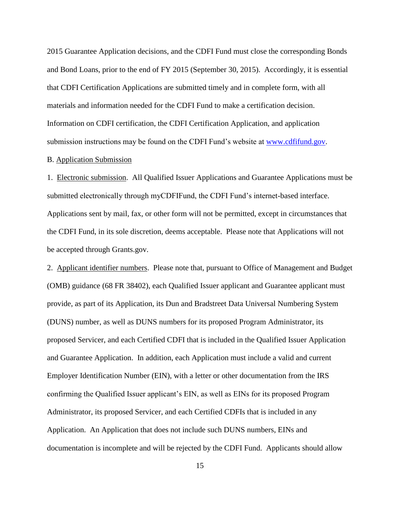2015 Guarantee Application decisions, and the CDFI Fund must close the corresponding Bonds and Bond Loans, prior to the end of FY 2015 (September 30, 2015). Accordingly, it is essential that CDFI Certification Applications are submitted timely and in complete form, with all materials and information needed for the CDFI Fund to make a certification decision. Information on CDFI certification, the CDFI Certification Application, and application submission instructions may be found on the CDFI Fund's website at [www.cdfifund.gov.](http://www.cdfifund.gov/)

## B. Application Submission

1. Electronic submission. All Qualified Issuer Applications and Guarantee Applications must be submitted electronically through myCDFIFund, the CDFI Fund's internet-based interface. Applications sent by mail, fax, or other form will not be permitted, except in circumstances that the CDFI Fund, in its sole discretion, deems acceptable. Please note that Applications will not be accepted through Grants.gov.

2. Applicant identifier numbers. Please note that, pursuant to Office of Management and Budget (OMB) guidance (68 FR 38402), each Qualified Issuer applicant and Guarantee applicant must provide, as part of its Application, its Dun and Bradstreet Data Universal Numbering System (DUNS) number, as well as DUNS numbers for its proposed Program Administrator, its proposed Servicer, and each Certified CDFI that is included in the Qualified Issuer Application and Guarantee Application. In addition, each Application must include a valid and current Employer Identification Number (EIN), with a letter or other documentation from the IRS confirming the Qualified Issuer applicant's EIN, as well as EINs for its proposed Program Administrator, its proposed Servicer, and each Certified CDFIs that is included in any Application. An Application that does not include such DUNS numbers, EINs and documentation is incomplete and will be rejected by the CDFI Fund. Applicants should allow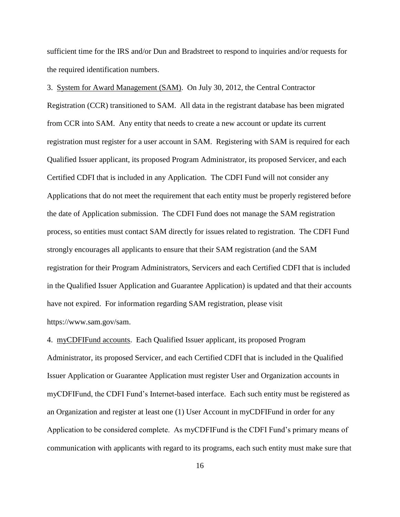sufficient time for the IRS and/or Dun and Bradstreet to respond to inquiries and/or requests for the required identification numbers.

3. System for Award Management (SAM). On July 30, 2012, the Central Contractor Registration (CCR) transitioned to SAM. All data in the registrant database has been migrated from CCR into SAM. Any entity that needs to create a new account or update its current registration must register for a user account in SAM. Registering with SAM is required for each Qualified Issuer applicant, its proposed Program Administrator, its proposed Servicer, and each Certified CDFI that is included in any Application. The CDFI Fund will not consider any Applications that do not meet the requirement that each entity must be properly registered before the date of Application submission. The CDFI Fund does not manage the SAM registration process, so entities must contact SAM directly for issues related to registration. The CDFI Fund strongly encourages all applicants to ensure that their SAM registration (and the SAM registration for their Program Administrators, Servicers and each Certified CDFI that is included in the Qualified Issuer Application and Guarantee Application) is updated and that their accounts have not expired. For information regarding SAM registration, please visit https://www.sam.gov/sam.

4. myCDFIFund accounts. Each Qualified Issuer applicant, its proposed Program Administrator, its proposed Servicer, and each Certified CDFI that is included in the Qualified Issuer Application or Guarantee Application must register User and Organization accounts in myCDFIFund, the CDFI Fund's Internet-based interface. Each such entity must be registered as an Organization and register at least one (1) User Account in myCDFIFund in order for any Application to be considered complete. As myCDFIFund is the CDFI Fund's primary means of communication with applicants with regard to its programs, each such entity must make sure that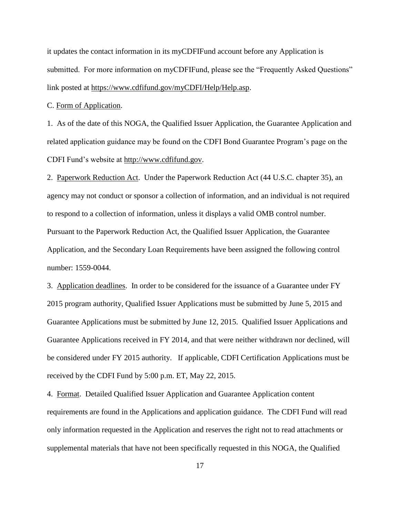it updates the contact information in its myCDFIFund account before any Application is submitted. For more information on myCDFIFund, please see the "Frequently Asked Questions" link posted at [https://www.cdfifund.gov/myCDFI/Help/Help.asp.](https://www.cdfifund.gov/myCDFI/Help/Help.asp)

C. Form of Application.

1. As of the date of this NOGA, the Qualified Issuer Application, the Guarantee Application and related application guidance may be found on the CDFI Bond Guarantee Program's page on the CDFI Fund's website at http://www.cdfifund.gov.

2. Paperwork Reduction Act. Under the Paperwork Reduction Act (44 U.S.C. chapter 35), an agency may not conduct or sponsor a collection of information, and an individual is not required to respond to a collection of information, unless it displays a valid OMB control number. Pursuant to the Paperwork Reduction Act, the Qualified Issuer Application, the Guarantee Application, and the Secondary Loan Requirements have been assigned the following control number: 1559-0044.

3. Application deadlines. In order to be considered for the issuance of a Guarantee under FY 2015 program authority, Qualified Issuer Applications must be submitted by June 5, 2015 and Guarantee Applications must be submitted by June 12, 2015. Qualified Issuer Applications and Guarantee Applications received in FY 2014, and that were neither withdrawn nor declined, will be considered under FY 2015 authority. If applicable, CDFI Certification Applications must be received by the CDFI Fund by 5:00 p.m. ET, May 22, 2015.

4. Format. Detailed Qualified Issuer Application and Guarantee Application content requirements are found in the Applications and application guidance. The CDFI Fund will read only information requested in the Application and reserves the right not to read attachments or supplemental materials that have not been specifically requested in this NOGA, the Qualified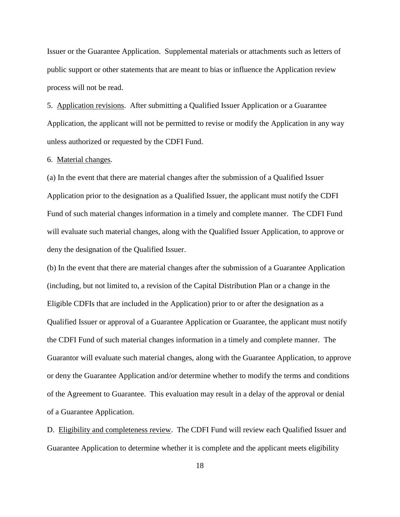Issuer or the Guarantee Application. Supplemental materials or attachments such as letters of public support or other statements that are meant to bias or influence the Application review process will not be read.

5. Application revisions. After submitting a Qualified Issuer Application or a Guarantee Application, the applicant will not be permitted to revise or modify the Application in any way unless authorized or requested by the CDFI Fund.

### 6. Material changes.

(a) In the event that there are material changes after the submission of a Qualified Issuer Application prior to the designation as a Qualified Issuer, the applicant must notify the CDFI Fund of such material changes information in a timely and complete manner. The CDFI Fund will evaluate such material changes, along with the Qualified Issuer Application, to approve or deny the designation of the Qualified Issuer.

(b) In the event that there are material changes after the submission of a Guarantee Application (including, but not limited to, a revision of the Capital Distribution Plan or a change in the Eligible CDFIs that are included in the Application) prior to or after the designation as a Qualified Issuer or approval of a Guarantee Application or Guarantee, the applicant must notify the CDFI Fund of such material changes information in a timely and complete manner. The Guarantor will evaluate such material changes, along with the Guarantee Application, to approve or deny the Guarantee Application and/or determine whether to modify the terms and conditions of the Agreement to Guarantee. This evaluation may result in a delay of the approval or denial of a Guarantee Application.

D. Eligibility and completeness review. The CDFI Fund will review each Qualified Issuer and Guarantee Application to determine whether it is complete and the applicant meets eligibility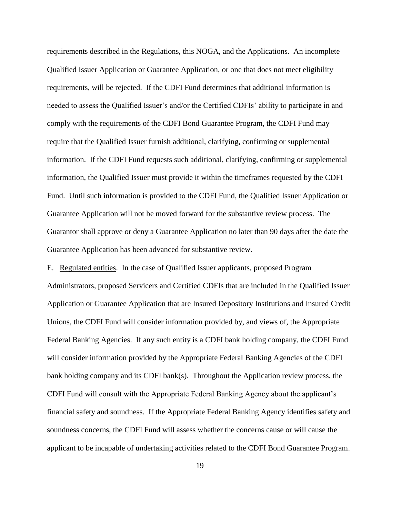requirements described in the Regulations, this NOGA, and the Applications. An incomplete Qualified Issuer Application or Guarantee Application, or one that does not meet eligibility requirements, will be rejected. If the CDFI Fund determines that additional information is needed to assess the Qualified Issuer's and/or the Certified CDFIs' ability to participate in and comply with the requirements of the CDFI Bond Guarantee Program, the CDFI Fund may require that the Qualified Issuer furnish additional, clarifying, confirming or supplemental information. If the CDFI Fund requests such additional, clarifying, confirming or supplemental information, the Qualified Issuer must provide it within the timeframes requested by the CDFI Fund. Until such information is provided to the CDFI Fund, the Qualified Issuer Application or Guarantee Application will not be moved forward for the substantive review process. The Guarantor shall approve or deny a Guarantee Application no later than 90 days after the date the Guarantee Application has been advanced for substantive review.

E. Regulated entities. In the case of Qualified Issuer applicants, proposed Program Administrators, proposed Servicers and Certified CDFIs that are included in the Qualified Issuer Application or Guarantee Application that are Insured Depository Institutions and Insured Credit Unions, the CDFI Fund will consider information provided by, and views of, the Appropriate Federal Banking Agencies. If any such entity is a CDFI bank holding company, the CDFI Fund will consider information provided by the Appropriate Federal Banking Agencies of the CDFI bank holding company and its CDFI bank(s). Throughout the Application review process, the CDFI Fund will consult with the Appropriate Federal Banking Agency about the applicant's financial safety and soundness. If the Appropriate Federal Banking Agency identifies safety and soundness concerns, the CDFI Fund will assess whether the concerns cause or will cause the applicant to be incapable of undertaking activities related to the CDFI Bond Guarantee Program.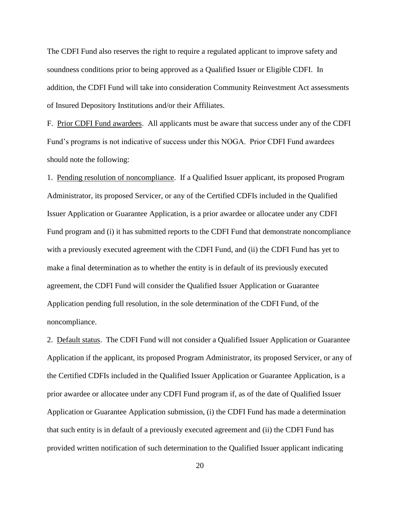The CDFI Fund also reserves the right to require a regulated applicant to improve safety and soundness conditions prior to being approved as a Qualified Issuer or Eligible CDFI. In addition, the CDFI Fund will take into consideration Community Reinvestment Act assessments of Insured Depository Institutions and/or their Affiliates.

F. Prior CDFI Fund awardees. All applicants must be aware that success under any of the CDFI Fund's programs is not indicative of success under this NOGA. Prior CDFI Fund awardees should note the following:

1. Pending resolution of noncompliance. If a Qualified Issuer applicant, its proposed Program Administrator, its proposed Servicer, or any of the Certified CDFIs included in the Qualified Issuer Application or Guarantee Application, is a prior awardee or allocatee under any CDFI Fund program and (i) it has submitted reports to the CDFI Fund that demonstrate noncompliance with a previously executed agreement with the CDFI Fund, and (ii) the CDFI Fund has yet to make a final determination as to whether the entity is in default of its previously executed agreement, the CDFI Fund will consider the Qualified Issuer Application or Guarantee Application pending full resolution, in the sole determination of the CDFI Fund, of the noncompliance.

2. Default status. The CDFI Fund will not consider a Qualified Issuer Application or Guarantee Application if the applicant, its proposed Program Administrator, its proposed Servicer, or any of the Certified CDFIs included in the Qualified Issuer Application or Guarantee Application, is a prior awardee or allocatee under any CDFI Fund program if, as of the date of Qualified Issuer Application or Guarantee Application submission, (i) the CDFI Fund has made a determination that such entity is in default of a previously executed agreement and (ii) the CDFI Fund has provided written notification of such determination to the Qualified Issuer applicant indicating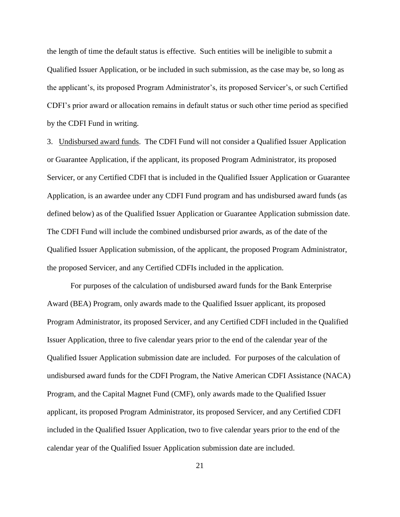the length of time the default status is effective. Such entities will be ineligible to submit a Qualified Issuer Application, or be included in such submission, as the case may be, so long as the applicant's, its proposed Program Administrator's, its proposed Servicer's, or such Certified CDFI's prior award or allocation remains in default status or such other time period as specified by the CDFI Fund in writing.

3. Undisbursed award funds. The CDFI Fund will not consider a Qualified Issuer Application or Guarantee Application, if the applicant, its proposed Program Administrator, its proposed Servicer, or any Certified CDFI that is included in the Qualified Issuer Application or Guarantee Application, is an awardee under any CDFI Fund program and has undisbursed award funds (as defined below) as of the Qualified Issuer Application or Guarantee Application submission date. The CDFI Fund will include the combined undisbursed prior awards, as of the date of the Qualified Issuer Application submission, of the applicant, the proposed Program Administrator, the proposed Servicer, and any Certified CDFIs included in the application.

For purposes of the calculation of undisbursed award funds for the Bank Enterprise Award (BEA) Program, only awards made to the Qualified Issuer applicant, its proposed Program Administrator, its proposed Servicer, and any Certified CDFI included in the Qualified Issuer Application, three to five calendar years prior to the end of the calendar year of the Qualified Issuer Application submission date are included. For purposes of the calculation of undisbursed award funds for the CDFI Program, the Native American CDFI Assistance (NACA) Program, and the Capital Magnet Fund (CMF), only awards made to the Qualified Issuer applicant, its proposed Program Administrator, its proposed Servicer, and any Certified CDFI included in the Qualified Issuer Application, two to five calendar years prior to the end of the calendar year of the Qualified Issuer Application submission date are included.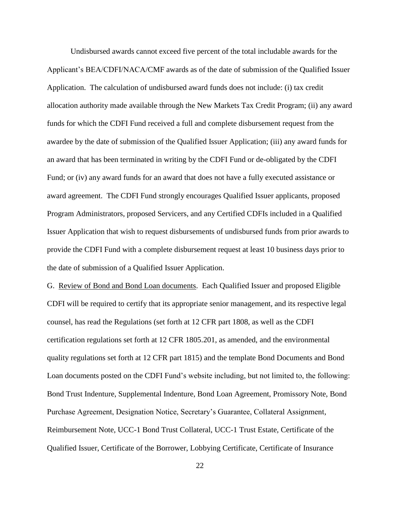Undisbursed awards cannot exceed five percent of the total includable awards for the Applicant's BEA/CDFI/NACA/CMF awards as of the date of submission of the Qualified Issuer Application. The calculation of undisbursed award funds does not include: (i) tax credit allocation authority made available through the New Markets Tax Credit Program; (ii) any award funds for which the CDFI Fund received a full and complete disbursement request from the awardee by the date of submission of the Qualified Issuer Application; (iii) any award funds for an award that has been terminated in writing by the CDFI Fund or de-obligated by the CDFI Fund; or (iv) any award funds for an award that does not have a fully executed assistance or award agreement. The CDFI Fund strongly encourages Qualified Issuer applicants, proposed Program Administrators, proposed Servicers, and any Certified CDFIs included in a Qualified Issuer Application that wish to request disbursements of undisbursed funds from prior awards to provide the CDFI Fund with a complete disbursement request at least 10 business days prior to the date of submission of a Qualified Issuer Application.

G. Review of Bond and Bond Loan documents. Each Qualified Issuer and proposed Eligible CDFI will be required to certify that its appropriate senior management, and its respective legal counsel, has read the Regulations (set forth at 12 CFR part 1808, as well as the CDFI certification regulations set forth at 12 CFR 1805.201, as amended, and the environmental quality regulations set forth at 12 CFR part 1815) and the template Bond Documents and Bond Loan documents posted on the CDFI Fund's website including, but not limited to, the following: Bond Trust Indenture, Supplemental Indenture, Bond Loan Agreement, Promissory Note, Bond Purchase Agreement, Designation Notice, Secretary's Guarantee, Collateral Assignment, Reimbursement Note, UCC-1 Bond Trust Collateral, UCC-1 Trust Estate, Certificate of the Qualified Issuer, Certificate of the Borrower, Lobbying Certificate, Certificate of Insurance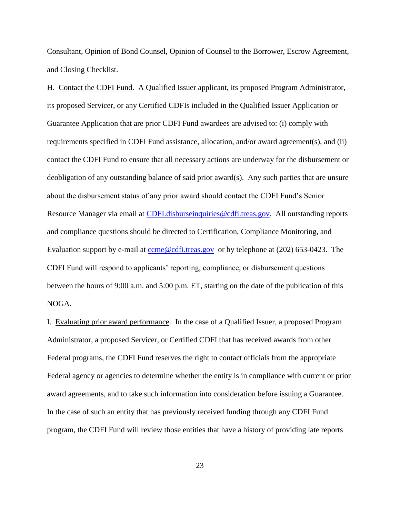Consultant, Opinion of Bond Counsel, Opinion of Counsel to the Borrower, Escrow Agreement, and Closing Checklist.

H. Contact the CDFI Fund. A Qualified Issuer applicant, its proposed Program Administrator, its proposed Servicer, or any Certified CDFIs included in the Qualified Issuer Application or Guarantee Application that are prior CDFI Fund awardees are advised to: (i) comply with requirements specified in CDFI Fund assistance, allocation, and/or award agreement(s), and (ii) contact the CDFI Fund to ensure that all necessary actions are underway for the disbursement or deobligation of any outstanding balance of said prior award(s). Any such parties that are unsure about the disbursement status of any prior award should contact the CDFI Fund's Senior Resource Manager via email at [CDFI.disburseinquiries@cdfi.treas.gov.](mailto:CDFI.disburseinquiries@cdfi.treas.gov) All outstanding reports and compliance questions should be directed to Certification, Compliance Monitoring, and Evaluation support by e-mail at [ccme@cdfi.treas.gov](mailto:ccme@cdfi.treas.gov) or by telephone at (202) 653-0423. The CDFI Fund will respond to applicants' reporting, compliance, or disbursement questions between the hours of 9:00 a.m. and 5:00 p.m. ET, starting on the date of the publication of this NOGA.

I. Evaluating prior award performance. In the case of a Qualified Issuer, a proposed Program Administrator, a proposed Servicer, or Certified CDFI that has received awards from other Federal programs, the CDFI Fund reserves the right to contact officials from the appropriate Federal agency or agencies to determine whether the entity is in compliance with current or prior award agreements, and to take such information into consideration before issuing a Guarantee. In the case of such an entity that has previously received funding through any CDFI Fund program, the CDFI Fund will review those entities that have a history of providing late reports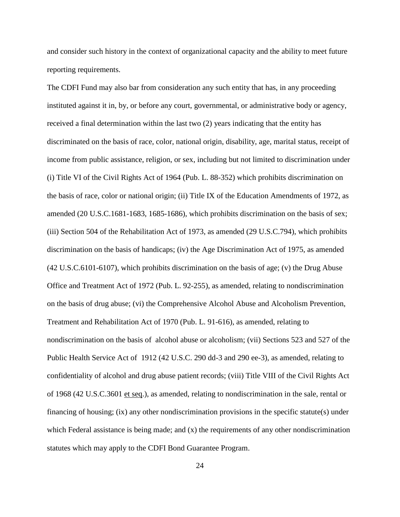and consider such history in the context of organizational capacity and the ability to meet future reporting requirements.

The CDFI Fund may also bar from consideration any such entity that has, in any proceeding instituted against it in, by, or before any court, governmental, or administrative body or agency, received a final determination within the last two (2) years indicating that the entity has discriminated on the basis of race, color, national origin, disability, age, marital status, receipt of income from public assistance, religion, or sex, including but not limited to discrimination under (i) Title VI of the Civil Rights Act of 1964 (Pub. L. 88-352) which prohibits discrimination on the basis of race, color or national origin; (ii) Title IX of the Education Amendments of 1972, as amended (20 U.S.C.1681-1683, 1685-1686), which prohibits discrimination on the basis of sex; (iii) Section 504 of the Rehabilitation Act of 1973, as amended (29 U.S.C.794), which prohibits discrimination on the basis of handicaps; (iv) the Age Discrimination Act of 1975, as amended (42 U.S.C.6101-6107), which prohibits discrimination on the basis of age; (v) the Drug Abuse Office and Treatment Act of 1972 (Pub. L. 92-255), as amended, relating to nondiscrimination on the basis of drug abuse; (vi) the Comprehensive Alcohol Abuse and Alcoholism Prevention, Treatment and Rehabilitation Act of 1970 (Pub. L. 91-616), as amended, relating to nondiscrimination on the basis of alcohol abuse or alcoholism; (vii) Sections 523 and 527 of the Public Health Service Act of 1912 (42 U.S.C. 290 dd-3 and 290 ee-3), as amended, relating to confidentiality of alcohol and drug abuse patient records; (viii) Title VIII of the Civil Rights Act of 1968 (42 U.S.C.3601 et seq.), as amended, relating to nondiscrimination in the sale, rental or financing of housing; (ix) any other nondiscrimination provisions in the specific statute(s) under which Federal assistance is being made; and (x) the requirements of any other nondiscrimination statutes which may apply to the CDFI Bond Guarantee Program.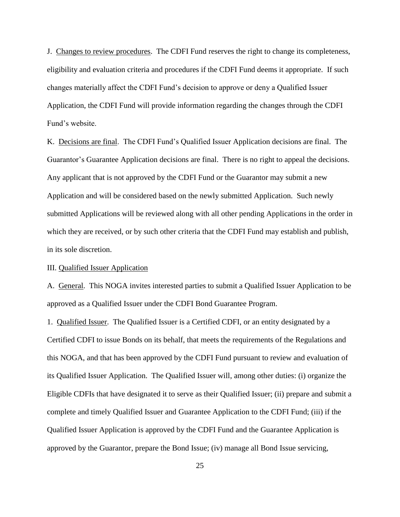J. Changes to review procedures. The CDFI Fund reserves the right to change its completeness, eligibility and evaluation criteria and procedures if the CDFI Fund deems it appropriate. If such changes materially affect the CDFI Fund's decision to approve or deny a Qualified Issuer Application, the CDFI Fund will provide information regarding the changes through the CDFI Fund's website.

K. Decisions are final. The CDFI Fund's Qualified Issuer Application decisions are final. The Guarantor's Guarantee Application decisions are final. There is no right to appeal the decisions. Any applicant that is not approved by the CDFI Fund or the Guarantor may submit a new Application and will be considered based on the newly submitted Application. Such newly submitted Applications will be reviewed along with all other pending Applications in the order in which they are received, or by such other criteria that the CDFI Fund may establish and publish, in its sole discretion.

## III. Qualified Issuer Application

A. General. This NOGA invites interested parties to submit a Qualified Issuer Application to be approved as a Qualified Issuer under the CDFI Bond Guarantee Program.

1. Qualified Issuer. The Qualified Issuer is a Certified CDFI, or an entity designated by a Certified CDFI to issue Bonds on its behalf, that meets the requirements of the Regulations and this NOGA, and that has been approved by the CDFI Fund pursuant to review and evaluation of its Qualified Issuer Application. The Qualified Issuer will, among other duties: (i) organize the Eligible CDFIs that have designated it to serve as their Qualified Issuer; (ii) prepare and submit a complete and timely Qualified Issuer and Guarantee Application to the CDFI Fund; (iii) if the Qualified Issuer Application is approved by the CDFI Fund and the Guarantee Application is approved by the Guarantor, prepare the Bond Issue; (iv) manage all Bond Issue servicing,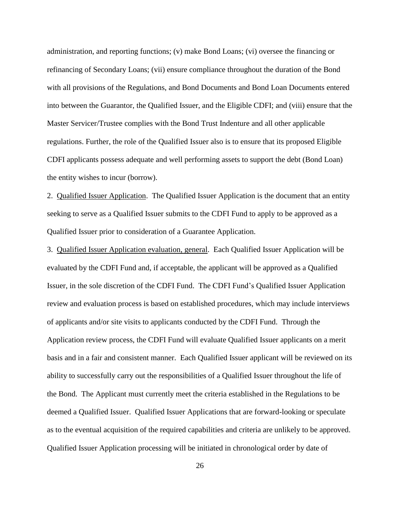administration, and reporting functions; (v) make Bond Loans; (vi) oversee the financing or refinancing of Secondary Loans; (vii) ensure compliance throughout the duration of the Bond with all provisions of the Regulations, and Bond Documents and Bond Loan Documents entered into between the Guarantor, the Qualified Issuer, and the Eligible CDFI; and (viii) ensure that the Master Servicer/Trustee complies with the Bond Trust Indenture and all other applicable regulations. Further, the role of the Qualified Issuer also is to ensure that its proposed Eligible CDFI applicants possess adequate and well performing assets to support the debt (Bond Loan) the entity wishes to incur (borrow).

2. Qualified Issuer Application. The Qualified Issuer Application is the document that an entity seeking to serve as a Qualified Issuer submits to the CDFI Fund to apply to be approved as a Qualified Issuer prior to consideration of a Guarantee Application.

3. Qualified Issuer Application evaluation, general. Each Qualified Issuer Application will be evaluated by the CDFI Fund and, if acceptable, the applicant will be approved as a Qualified Issuer, in the sole discretion of the CDFI Fund. The CDFI Fund's Qualified Issuer Application review and evaluation process is based on established procedures, which may include interviews of applicants and/or site visits to applicants conducted by the CDFI Fund. Through the Application review process, the CDFI Fund will evaluate Qualified Issuer applicants on a merit basis and in a fair and consistent manner. Each Qualified Issuer applicant will be reviewed on its ability to successfully carry out the responsibilities of a Qualified Issuer throughout the life of the Bond. The Applicant must currently meet the criteria established in the Regulations to be deemed a Qualified Issuer. Qualified Issuer Applications that are forward-looking or speculate as to the eventual acquisition of the required capabilities and criteria are unlikely to be approved. Qualified Issuer Application processing will be initiated in chronological order by date of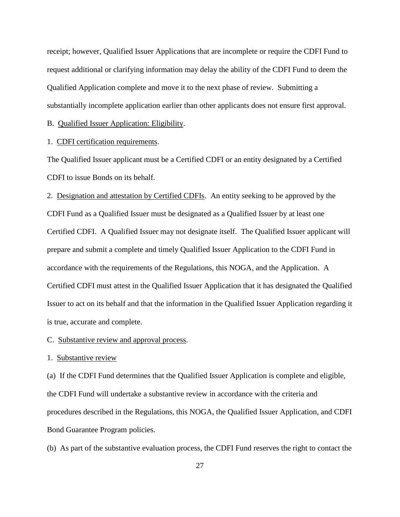receipt; however, Qualified Issuer Applications that are incomplete or require the CDFI Fund to request additional or clarifying information may delay the ability of the CDFI Fund to deem the Qualified Application complete and move it to the next phase of review. Submitting a substantially incomplete application earlier than other applicants does not ensure first approval.

B. Qualified Issuer Application: Eligibility.

1. CDFI certification requirements.

The Qualified Issuer applicant must be a Certified CDFI or an entity designated by a Certified CDFI to issue Bonds on its behalf.

2. Designation and attestation by Certified CDFIs. An entity seeking to be approved by the CDFI Fund as a Qualified Issuer must be designated as a Qualified Issuer by at least one Certified CDFI. A Qualified Issuer may not designate itself. The Qualified Issuer applicant will prepare and submit a complete and timely Qualified Issuer Application to the CDFI Fund in accordance with the requirements of the Regulations, this NOGA, and the Application. A Certified CDFI must attest in the Qualified Issuer Application that it has designated the Qualified Issuer to act on its behalf and that the information in the Qualified Issuer Application regarding it is true, accurate and complete.

C. Substantive review and approval process.

1. Substantive review

(a) If the CDFI Fund determines that the Qualified Issuer Application is complete and eligible, the CDFI Fund will undertake a substantive review in accordance with the criteria and procedures described in the Regulations, this NOGA, the Qualified Issuer Application, and CDFI Bond Guarantee Program policies.

(b) As part of the substantive evaluation process, the CDFI Fund reserves the right to contact the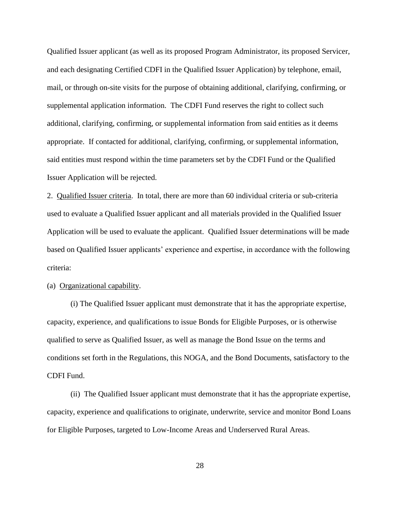Qualified Issuer applicant (as well as its proposed Program Administrator, its proposed Servicer, and each designating Certified CDFI in the Qualified Issuer Application) by telephone, email, mail, or through on-site visits for the purpose of obtaining additional, clarifying, confirming, or supplemental application information. The CDFI Fund reserves the right to collect such additional, clarifying, confirming, or supplemental information from said entities as it deems appropriate. If contacted for additional, clarifying, confirming, or supplemental information, said entities must respond within the time parameters set by the CDFI Fund or the Qualified Issuer Application will be rejected.

2. Qualified Issuer criteria. In total, there are more than 60 individual criteria or sub-criteria used to evaluate a Qualified Issuer applicant and all materials provided in the Qualified Issuer Application will be used to evaluate the applicant. Qualified Issuer determinations will be made based on Qualified Issuer applicants' experience and expertise, in accordance with the following criteria:

### (a) Organizational capability.

(i) The Qualified Issuer applicant must demonstrate that it has the appropriate expertise, capacity, experience, and qualifications to issue Bonds for Eligible Purposes, or is otherwise qualified to serve as Qualified Issuer, as well as manage the Bond Issue on the terms and conditions set forth in the Regulations, this NOGA, and the Bond Documents, satisfactory to the CDFI Fund.

(ii) The Qualified Issuer applicant must demonstrate that it has the appropriate expertise, capacity, experience and qualifications to originate, underwrite, service and monitor Bond Loans for Eligible Purposes, targeted to Low-Income Areas and Underserved Rural Areas.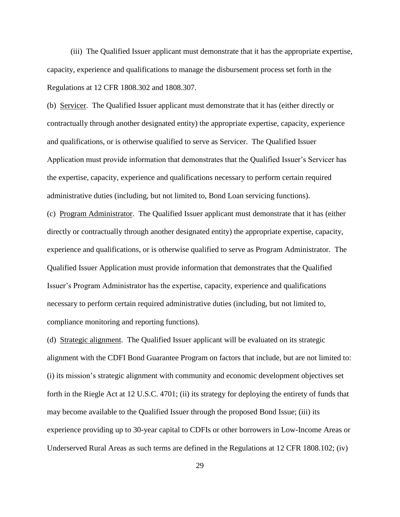(iii) The Qualified Issuer applicant must demonstrate that it has the appropriate expertise, capacity, experience and qualifications to manage the disbursement process set forth in the Regulations at 12 CFR 1808.302 and 1808.307.

(b) Servicer. The Qualified Issuer applicant must demonstrate that it has (either directly or contractually through another designated entity) the appropriate expertise, capacity, experience and qualifications, or is otherwise qualified to serve as Servicer. The Qualified Issuer Application must provide information that demonstrates that the Qualified Issuer's Servicer has the expertise, capacity, experience and qualifications necessary to perform certain required administrative duties (including, but not limited to, Bond Loan servicing functions).

(c) Program Administrator. The Qualified Issuer applicant must demonstrate that it has (either directly or contractually through another designated entity) the appropriate expertise, capacity, experience and qualifications, or is otherwise qualified to serve as Program Administrator. The Qualified Issuer Application must provide information that demonstrates that the Qualified Issuer's Program Administrator has the expertise, capacity, experience and qualifications necessary to perform certain required administrative duties (including, but not limited to, compliance monitoring and reporting functions).

(d) Strategic alignment. The Qualified Issuer applicant will be evaluated on its strategic alignment with the CDFI Bond Guarantee Program on factors that include, but are not limited to: (i) its mission's strategic alignment with community and economic development objectives set forth in the Riegle Act at 12 U.S.C. 4701; (ii) its strategy for deploying the entirety of funds that may become available to the Qualified Issuer through the proposed Bond Issue; (iii) its experience providing up to 30-year capital to CDFIs or other borrowers in Low-Income Areas or Underserved Rural Areas as such terms are defined in the Regulations at 12 CFR 1808.102; (iv)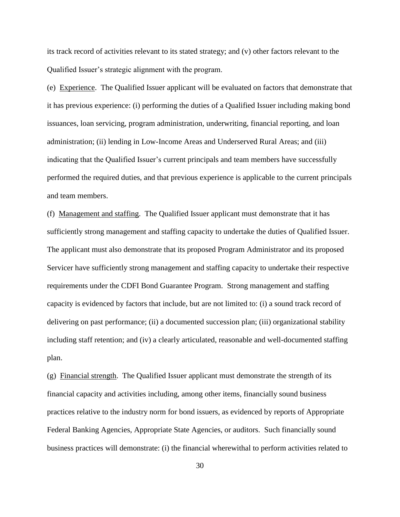its track record of activities relevant to its stated strategy; and (v) other factors relevant to the Qualified Issuer's strategic alignment with the program.

(e) Experience. The Qualified Issuer applicant will be evaluated on factors that demonstrate that it has previous experience: (i) performing the duties of a Qualified Issuer including making bond issuances, loan servicing, program administration, underwriting, financial reporting, and loan administration; (ii) lending in Low-Income Areas and Underserved Rural Areas; and (iii) indicating that the Qualified Issuer's current principals and team members have successfully performed the required duties, and that previous experience is applicable to the current principals and team members.

(f) Management and staffing. The Qualified Issuer applicant must demonstrate that it has sufficiently strong management and staffing capacity to undertake the duties of Qualified Issuer. The applicant must also demonstrate that its proposed Program Administrator and its proposed Servicer have sufficiently strong management and staffing capacity to undertake their respective requirements under the CDFI Bond Guarantee Program. Strong management and staffing capacity is evidenced by factors that include, but are not limited to: (i) a sound track record of delivering on past performance; (ii) a documented succession plan; (iii) organizational stability including staff retention; and (iv) a clearly articulated, reasonable and well-documented staffing plan.

(g) Financial strength. The Qualified Issuer applicant must demonstrate the strength of its financial capacity and activities including, among other items, financially sound business practices relative to the industry norm for bond issuers, as evidenced by reports of Appropriate Federal Banking Agencies, Appropriate State Agencies, or auditors. Such financially sound business practices will demonstrate: (i) the financial wherewithal to perform activities related to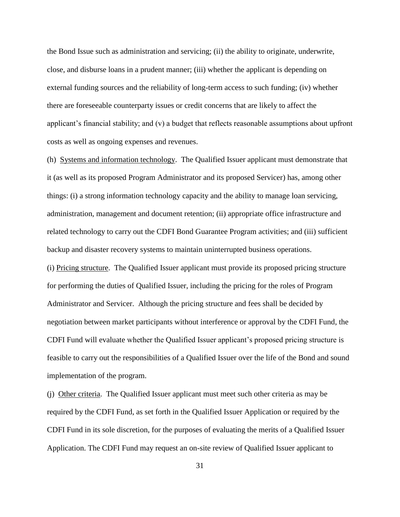the Bond Issue such as administration and servicing; (ii) the ability to originate, underwrite, close, and disburse loans in a prudent manner; (iii) whether the applicant is depending on external funding sources and the reliability of long-term access to such funding; (iv) whether there are foreseeable counterparty issues or credit concerns that are likely to affect the applicant's financial stability; and (v) a budget that reflects reasonable assumptions about upfront costs as well as ongoing expenses and revenues.

(h) Systems and information technology. The Qualified Issuer applicant must demonstrate that it (as well as its proposed Program Administrator and its proposed Servicer) has, among other things: (i) a strong information technology capacity and the ability to manage loan servicing, administration, management and document retention; (ii) appropriate office infrastructure and related technology to carry out the CDFI Bond Guarantee Program activities; and (iii) sufficient backup and disaster recovery systems to maintain uninterrupted business operations.

(i) Pricing structure. The Qualified Issuer applicant must provide its proposed pricing structure for performing the duties of Qualified Issuer, including the pricing for the roles of Program Administrator and Servicer. Although the pricing structure and fees shall be decided by negotiation between market participants without interference or approval by the CDFI Fund, the CDFI Fund will evaluate whether the Qualified Issuer applicant's proposed pricing structure is feasible to carry out the responsibilities of a Qualified Issuer over the life of the Bond and sound implementation of the program.

(j) Other criteria. The Qualified Issuer applicant must meet such other criteria as may be required by the CDFI Fund, as set forth in the Qualified Issuer Application or required by the CDFI Fund in its sole discretion, for the purposes of evaluating the merits of a Qualified Issuer Application. The CDFI Fund may request an on-site review of Qualified Issuer applicant to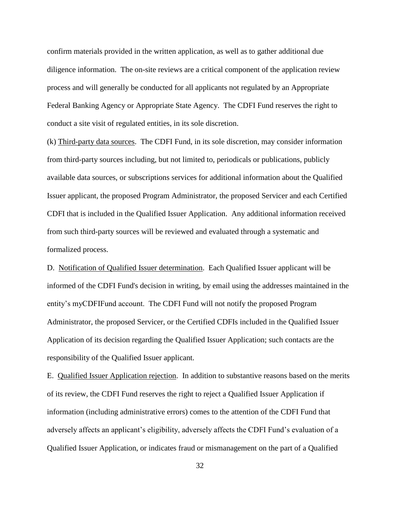confirm materials provided in the written application, as well as to gather additional due diligence information. The on-site reviews are a critical component of the application review process and will generally be conducted for all applicants not regulated by an Appropriate Federal Banking Agency or Appropriate State Agency. The CDFI Fund reserves the right to conduct a site visit of regulated entities, in its sole discretion.

(k) Third-party data sources. The CDFI Fund, in its sole discretion, may consider information from third-party sources including, but not limited to, periodicals or publications, publicly available data sources, or subscriptions services for additional information about the Qualified Issuer applicant, the proposed Program Administrator, the proposed Servicer and each Certified CDFI that is included in the Qualified Issuer Application. Any additional information received from such third-party sources will be reviewed and evaluated through a systematic and formalized process.

D. Notification of Qualified Issuer determination. Each Qualified Issuer applicant will be informed of the CDFI Fund's decision in writing, by email using the addresses maintained in the entity's myCDFIFund account. The CDFI Fund will not notify the proposed Program Administrator, the proposed Servicer, or the Certified CDFIs included in the Qualified Issuer Application of its decision regarding the Qualified Issuer Application; such contacts are the responsibility of the Qualified Issuer applicant.

E. Qualified Issuer Application rejection. In addition to substantive reasons based on the merits of its review, the CDFI Fund reserves the right to reject a Qualified Issuer Application if information (including administrative errors) comes to the attention of the CDFI Fund that adversely affects an applicant's eligibility, adversely affects the CDFI Fund's evaluation of a Qualified Issuer Application, or indicates fraud or mismanagement on the part of a Qualified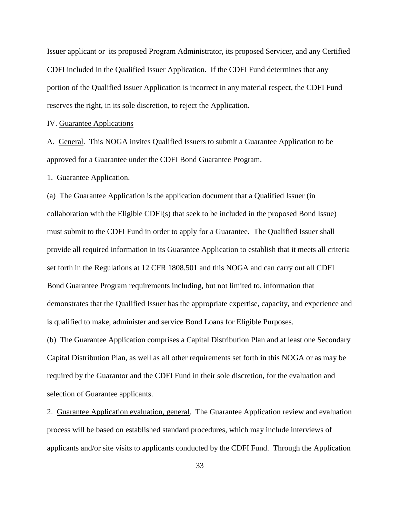Issuer applicant or its proposed Program Administrator, its proposed Servicer, and any Certified CDFI included in the Qualified Issuer Application. If the CDFI Fund determines that any portion of the Qualified Issuer Application is incorrect in any material respect, the CDFI Fund reserves the right, in its sole discretion, to reject the Application.

IV. Guarantee Applications

A. General. This NOGA invites Qualified Issuers to submit a Guarantee Application to be approved for a Guarantee under the CDFI Bond Guarantee Program.

1. Guarantee Application.

(a) The Guarantee Application is the application document that a Qualified Issuer (in collaboration with the Eligible CDFI(s) that seek to be included in the proposed Bond Issue) must submit to the CDFI Fund in order to apply for a Guarantee. The Qualified Issuer shall provide all required information in its Guarantee Application to establish that it meets all criteria set forth in the Regulations at 12 CFR 1808.501 and this NOGA and can carry out all CDFI Bond Guarantee Program requirements including, but not limited to, information that demonstrates that the Qualified Issuer has the appropriate expertise, capacity, and experience and is qualified to make, administer and service Bond Loans for Eligible Purposes.

(b) The Guarantee Application comprises a Capital Distribution Plan and at least one Secondary Capital Distribution Plan, as well as all other requirements set forth in this NOGA or as may be required by the Guarantor and the CDFI Fund in their sole discretion, for the evaluation and selection of Guarantee applicants.

2. Guarantee Application evaluation, general. The Guarantee Application review and evaluation process will be based on established standard procedures, which may include interviews of applicants and/or site visits to applicants conducted by the CDFI Fund. Through the Application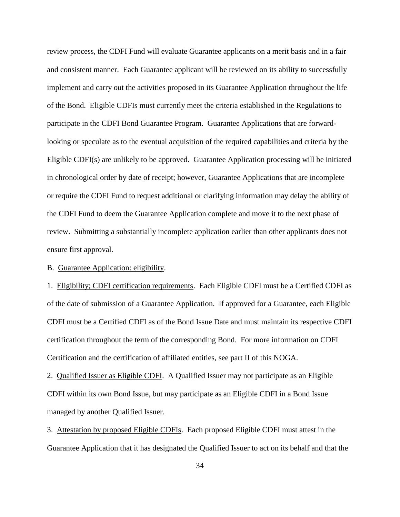review process, the CDFI Fund will evaluate Guarantee applicants on a merit basis and in a fair and consistent manner. Each Guarantee applicant will be reviewed on its ability to successfully implement and carry out the activities proposed in its Guarantee Application throughout the life of the Bond. Eligible CDFIs must currently meet the criteria established in the Regulations to participate in the CDFI Bond Guarantee Program. Guarantee Applications that are forwardlooking or speculate as to the eventual acquisition of the required capabilities and criteria by the Eligible CDFI(s) are unlikely to be approved. Guarantee Application processing will be initiated in chronological order by date of receipt; however, Guarantee Applications that are incomplete or require the CDFI Fund to request additional or clarifying information may delay the ability of the CDFI Fund to deem the Guarantee Application complete and move it to the next phase of review. Submitting a substantially incomplete application earlier than other applicants does not ensure first approval.

# B. Guarantee Application: eligibility.

1. Eligibility; CDFI certification requirements. Each Eligible CDFI must be a Certified CDFI as of the date of submission of a Guarantee Application. If approved for a Guarantee, each Eligible CDFI must be a Certified CDFI as of the Bond Issue Date and must maintain its respective CDFI certification throughout the term of the corresponding Bond. For more information on CDFI Certification and the certification of affiliated entities, see part II of this NOGA.

2. Qualified Issuer as Eligible CDFI. A Qualified Issuer may not participate as an Eligible CDFI within its own Bond Issue, but may participate as an Eligible CDFI in a Bond Issue managed by another Qualified Issuer.

3. Attestation by proposed Eligible CDFIs. Each proposed Eligible CDFI must attest in the Guarantee Application that it has designated the Qualified Issuer to act on its behalf and that the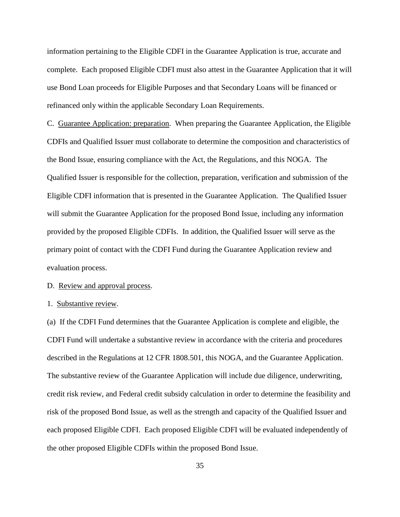information pertaining to the Eligible CDFI in the Guarantee Application is true, accurate and complete. Each proposed Eligible CDFI must also attest in the Guarantee Application that it will use Bond Loan proceeds for Eligible Purposes and that Secondary Loans will be financed or refinanced only within the applicable Secondary Loan Requirements.

C. Guarantee Application: preparation. When preparing the Guarantee Application, the Eligible CDFIs and Qualified Issuer must collaborate to determine the composition and characteristics of the Bond Issue, ensuring compliance with the Act, the Regulations, and this NOGA. The Qualified Issuer is responsible for the collection, preparation, verification and submission of the Eligible CDFI information that is presented in the Guarantee Application. The Qualified Issuer will submit the Guarantee Application for the proposed Bond Issue, including any information provided by the proposed Eligible CDFIs. In addition, the Qualified Issuer will serve as the primary point of contact with the CDFI Fund during the Guarantee Application review and evaluation process.

D. Review and approval process.

1. Substantive review.

(a) If the CDFI Fund determines that the Guarantee Application is complete and eligible, the CDFI Fund will undertake a substantive review in accordance with the criteria and procedures described in the Regulations at 12 CFR 1808.501, this NOGA, and the Guarantee Application. The substantive review of the Guarantee Application will include due diligence, underwriting, credit risk review, and Federal credit subsidy calculation in order to determine the feasibility and risk of the proposed Bond Issue, as well as the strength and capacity of the Qualified Issuer and each proposed Eligible CDFI. Each proposed Eligible CDFI will be evaluated independently of the other proposed Eligible CDFIs within the proposed Bond Issue.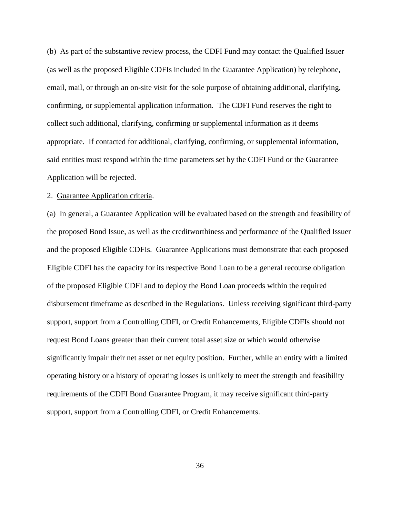(b) As part of the substantive review process, the CDFI Fund may contact the Qualified Issuer (as well as the proposed Eligible CDFIs included in the Guarantee Application) by telephone, email, mail, or through an on-site visit for the sole purpose of obtaining additional, clarifying, confirming, or supplemental application information. The CDFI Fund reserves the right to collect such additional, clarifying, confirming or supplemental information as it deems appropriate. If contacted for additional, clarifying, confirming, or supplemental information, said entities must respond within the time parameters set by the CDFI Fund or the Guarantee Application will be rejected.

## 2. Guarantee Application criteria.

(a) In general, a Guarantee Application will be evaluated based on the strength and feasibility of the proposed Bond Issue, as well as the creditworthiness and performance of the Qualified Issuer and the proposed Eligible CDFIs. Guarantee Applications must demonstrate that each proposed Eligible CDFI has the capacity for its respective Bond Loan to be a general recourse obligation of the proposed Eligible CDFI and to deploy the Bond Loan proceeds within the required disbursement timeframe as described in the Regulations. Unless receiving significant third-party support, support from a Controlling CDFI, or Credit Enhancements, Eligible CDFIs should not request Bond Loans greater than their current total asset size or which would otherwise significantly impair their net asset or net equity position. Further, while an entity with a limited operating history or a history of operating losses is unlikely to meet the strength and feasibility requirements of the CDFI Bond Guarantee Program, it may receive significant third-party support, support from a Controlling CDFI, or Credit Enhancements.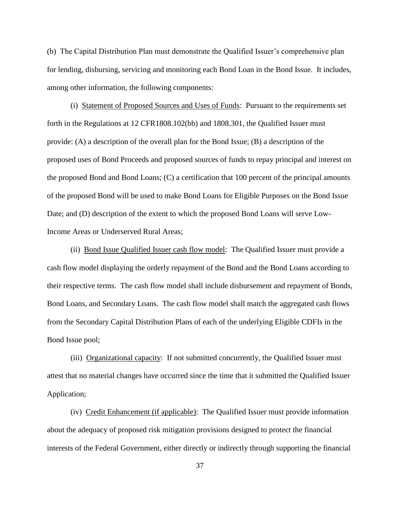(b) The Capital Distribution Plan must demonstrate the Qualified Issuer's comprehensive plan for lending, disbursing, servicing and monitoring each Bond Loan in the Bond Issue. It includes, among other information, the following components:

(i) Statement of Proposed Sources and Uses of Funds: Pursuant to the requirements set forth in the Regulations at 12 CFR1808.102(bb) and 1808.301, the Qualified Issuer must provide: (A) a description of the overall plan for the Bond Issue; (B) a description of the proposed uses of Bond Proceeds and proposed sources of funds to repay principal and interest on the proposed Bond and Bond Loans; (C) a certification that 100 percent of the principal amounts of the proposed Bond will be used to make Bond Loans for Eligible Purposes on the Bond Issue Date; and (D) description of the extent to which the proposed Bond Loans will serve Low-Income Areas or Underserved Rural Areas;

(ii) Bond Issue Qualified Issuer cash flow model: The Qualified Issuer must provide a cash flow model displaying the orderly repayment of the Bond and the Bond Loans according to their respective terms. The cash flow model shall include disbursement and repayment of Bonds, Bond Loans, and Secondary Loans. The cash flow model shall match the aggregated cash flows from the Secondary Capital Distribution Plans of each of the underlying Eligible CDFIs in the Bond Issue pool;

(iii) Organizational capacity: If not submitted concurrently, the Qualified Issuer must attest that no material changes have occurred since the time that it submitted the Qualified Issuer Application;

(iv) Credit Enhancement (if applicable): The Qualified Issuer must provide information about the adequacy of proposed risk mitigation provisions designed to protect the financial interests of the Federal Government, either directly or indirectly through supporting the financial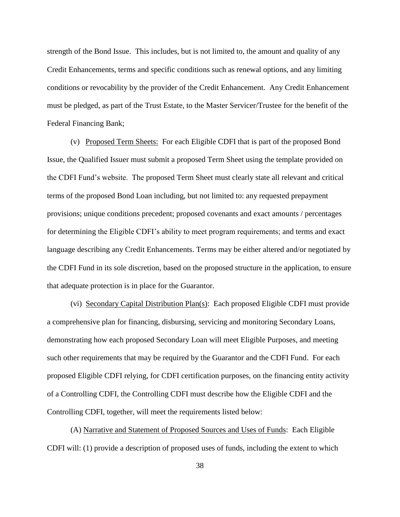strength of the Bond Issue. This includes, but is not limited to, the amount and quality of any Credit Enhancements, terms and specific conditions such as renewal options, and any limiting conditions or revocability by the provider of the Credit Enhancement. Any Credit Enhancement must be pledged, as part of the Trust Estate, to the Master Servicer/Trustee for the benefit of the Federal Financing Bank;

(v) Proposed Term Sheets: For each Eligible CDFI that is part of the proposed Bond Issue, the Qualified Issuer must submit a proposed Term Sheet using the template provided on the CDFI Fund's website. The proposed Term Sheet must clearly state all relevant and critical terms of the proposed Bond Loan including, but not limited to: any requested prepayment provisions; unique conditions precedent; proposed covenants and exact amounts / percentages for determining the Eligible CDFI's ability to meet program requirements; and terms and exact language describing any Credit Enhancements. Terms may be either altered and/or negotiated by the CDFI Fund in its sole discretion, based on the proposed structure in the application, to ensure that adequate protection is in place for the Guarantor.

(vi) Secondary Capital Distribution Plan(s): Each proposed Eligible CDFI must provide a comprehensive plan for financing, disbursing, servicing and monitoring Secondary Loans, demonstrating how each proposed Secondary Loan will meet Eligible Purposes, and meeting such other requirements that may be required by the Guarantor and the CDFI Fund. For each proposed Eligible CDFI relying, for CDFI certification purposes, on the financing entity activity of a Controlling CDFI, the Controlling CDFI must describe how the Eligible CDFI and the Controlling CDFI, together, will meet the requirements listed below:

(A) Narrative and Statement of Proposed Sources and Uses of Funds: Each Eligible CDFI will: (1) provide a description of proposed uses of funds, including the extent to which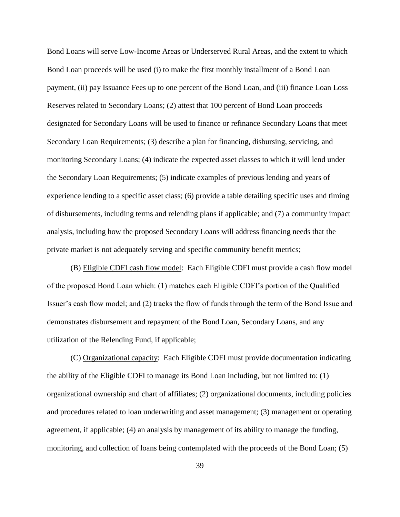Bond Loans will serve Low-Income Areas or Underserved Rural Areas, and the extent to which Bond Loan proceeds will be used (i) to make the first monthly installment of a Bond Loan payment, (ii) pay Issuance Fees up to one percent of the Bond Loan, and (iii) finance Loan Loss Reserves related to Secondary Loans; (2) attest that 100 percent of Bond Loan proceeds designated for Secondary Loans will be used to finance or refinance Secondary Loans that meet Secondary Loan Requirements; (3) describe a plan for financing, disbursing, servicing, and monitoring Secondary Loans; (4) indicate the expected asset classes to which it will lend under the Secondary Loan Requirements; (5) indicate examples of previous lending and years of experience lending to a specific asset class; (6) provide a table detailing specific uses and timing of disbursements, including terms and relending plans if applicable; and (7) a community impact analysis, including how the proposed Secondary Loans will address financing needs that the private market is not adequately serving and specific community benefit metrics;

(B) Eligible CDFI cash flow model: Each Eligible CDFI must provide a cash flow model of the proposed Bond Loan which: (1) matches each Eligible CDFI's portion of the Qualified Issuer's cash flow model; and (2) tracks the flow of funds through the term of the Bond Issue and demonstrates disbursement and repayment of the Bond Loan, Secondary Loans, and any utilization of the Relending Fund, if applicable;

(C) Organizational capacity: Each Eligible CDFI must provide documentation indicating the ability of the Eligible CDFI to manage its Bond Loan including, but not limited to: (1) organizational ownership and chart of affiliates; (2) organizational documents, including policies and procedures related to loan underwriting and asset management; (3) management or operating agreement, if applicable; (4) an analysis by management of its ability to manage the funding, monitoring, and collection of loans being contemplated with the proceeds of the Bond Loan; (5)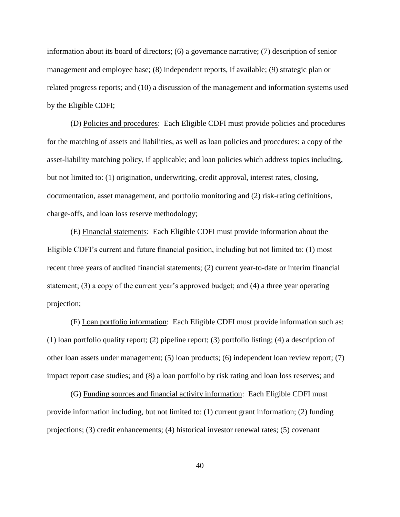information about its board of directors; (6) a governance narrative; (7) description of senior management and employee base; (8) independent reports, if available; (9) strategic plan or related progress reports; and (10) a discussion of the management and information systems used by the Eligible CDFI;

(D) Policies and procedures: Each Eligible CDFI must provide policies and procedures for the matching of assets and liabilities, as well as loan policies and procedures: a copy of the asset-liability matching policy, if applicable; and loan policies which address topics including, but not limited to: (1) origination, underwriting, credit approval, interest rates, closing, documentation, asset management, and portfolio monitoring and (2) risk-rating definitions, charge-offs, and loan loss reserve methodology;

(E) Financial statements: Each Eligible CDFI must provide information about the Eligible CDFI's current and future financial position, including but not limited to: (1) most recent three years of audited financial statements; (2) current year-to-date or interim financial statement; (3) a copy of the current year's approved budget; and (4) a three year operating projection;

(F) Loan portfolio information: Each Eligible CDFI must provide information such as: (1) loan portfolio quality report; (2) pipeline report; (3) portfolio listing; (4) a description of other loan assets under management; (5) loan products; (6) independent loan review report; (7) impact report case studies; and (8) a loan portfolio by risk rating and loan loss reserves; and

(G) Funding sources and financial activity information: Each Eligible CDFI must provide information including, but not limited to: (1) current grant information; (2) funding projections; (3) credit enhancements; (4) historical investor renewal rates; (5) covenant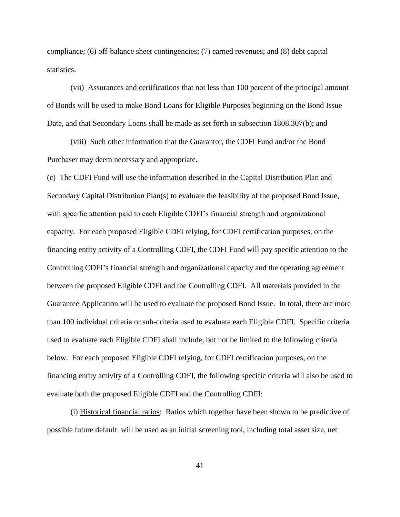compliance; (6) off-balance sheet contingencies; (7) earned revenues; and (8) debt capital statistics.

(vii) Assurances and certifications that not less than 100 percent of the principal amount of Bonds will be used to make Bond Loans for Eligible Purposes beginning on the Bond Issue Date, and that Secondary Loans shall be made as set forth in subsection 1808.307(b); and

(viii) Such other information that the Guarantor, the CDFI Fund and/or the Bond Purchaser may deem necessary and appropriate.

(c) The CDFI Fund will use the information described in the Capital Distribution Plan and Secondary Capital Distribution Plan(s) to evaluate the feasibility of the proposed Bond Issue, with specific attention paid to each Eligible CDFI's financial strength and organizational capacity. For each proposed Eligible CDFI relying, for CDFI certification purposes, on the financing entity activity of a Controlling CDFI, the CDFI Fund will pay specific attention to the Controlling CDFI's financial strength and organizational capacity and the operating agreement between the proposed Eligible CDFI and the Controlling CDFI. All materials provided in the Guarantee Application will be used to evaluate the proposed Bond Issue. In total, there are more than 100 individual criteria or sub-criteria used to evaluate each Eligible CDFI. Specific criteria used to evaluate each Eligible CDFI shall include, but not be limited to the following criteria below. For each proposed Eligible CDFI relying, for CDFI certification purposes, on the financing entity activity of a Controlling CDFI, the following specific criteria will also be used to evaluate both the proposed Eligible CDFI and the Controlling CDFI:

(i) Historical financial ratios: Ratios which together have been shown to be predictive of possible future default will be used as an initial screening tool, including total asset size, net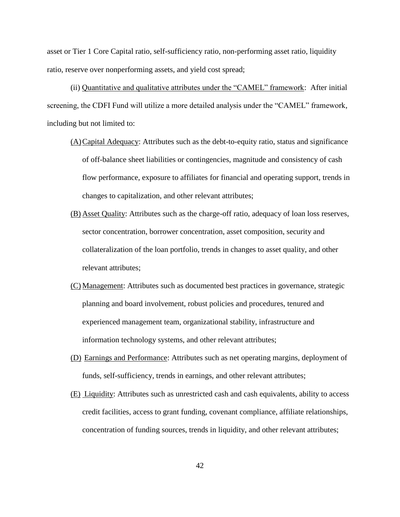asset or Tier 1 Core Capital ratio, self-sufficiency ratio, non-performing asset ratio, liquidity ratio, reserve over nonperforming assets, and yield cost spread;

(ii) Quantitative and qualitative attributes under the "CAMEL" framework: After initial screening, the CDFI Fund will utilize a more detailed analysis under the "CAMEL" framework, including but not limited to:

- (A)Capital Adequacy: Attributes such as the debt-to-equity ratio, status and significance of off-balance sheet liabilities or contingencies, magnitude and consistency of cash flow performance, exposure to affiliates for financial and operating support, trends in changes to capitalization, and other relevant attributes;
- (B) Asset Quality: Attributes such as the charge-off ratio, adequacy of loan loss reserves, sector concentration, borrower concentration, asset composition, security and collateralization of the loan portfolio, trends in changes to asset quality, and other relevant attributes;
- (C) Management: Attributes such as documented best practices in governance, strategic planning and board involvement, robust policies and procedures, tenured and experienced management team, organizational stability, infrastructure and information technology systems, and other relevant attributes;
- (D) Earnings and Performance: Attributes such as net operating margins, deployment of funds, self-sufficiency, trends in earnings, and other relevant attributes;
- (E) Liquidity: Attributes such as unrestricted cash and cash equivalents, ability to access credit facilities, access to grant funding, covenant compliance, affiliate relationships, concentration of funding sources, trends in liquidity, and other relevant attributes;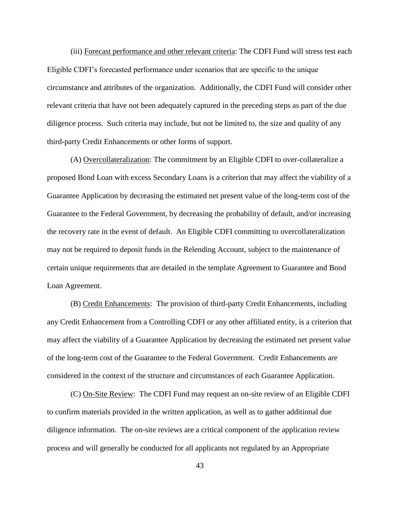(iii) Forecast performance and other relevant criteria: The CDFI Fund will stress test each Eligible CDFI's forecasted performance under scenarios that are specific to the unique circumstance and attributes of the organization. Additionally, the CDFI Fund will consider other relevant criteria that have not been adequately captured in the preceding steps as part of the due diligence process. Such criteria may include, but not be limited to, the size and quality of any third-party Credit Enhancements or other forms of support.

(A) Overcollateralization: The commitment by an Eligible CDFI to over-collateralize a proposed Bond Loan with excess Secondary Loans is a criterion that may affect the viability of a Guarantee Application by decreasing the estimated net present value of the long-term cost of the Guarantee to the Federal Government, by decreasing the probability of default, and/or increasing the recovery rate in the event of default. An Eligible CDFI committing to overcollateralization may not be required to deposit funds in the Relending Account, subject to the maintenance of certain unique requirements that are detailed in the template Agreement to Guarantee and Bond Loan Agreement.

(B) Credit Enhancements: The provision of third-party Credit Enhancements, including any Credit Enhancement from a Controlling CDFI or any other affiliated entity, is a criterion that may affect the viability of a Guarantee Application by decreasing the estimated net present value of the long-term cost of the Guarantee to the Federal Government. Credit Enhancements are considered in the context of the structure and circumstances of each Guarantee Application.

(C) On-Site Review: The CDFI Fund may request an on-site review of an Eligible CDFI to confirm materials provided in the written application, as well as to gather additional due diligence information. The on-site reviews are a critical component of the application review process and will generally be conducted for all applicants not regulated by an Appropriate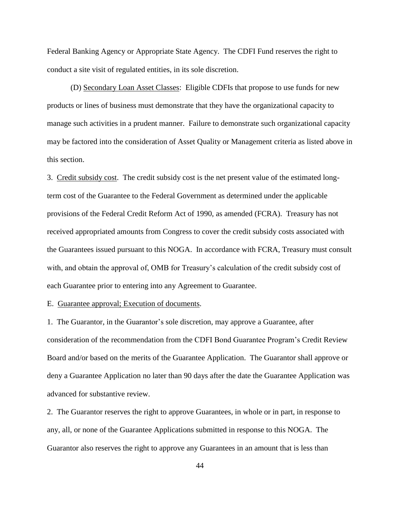Federal Banking Agency or Appropriate State Agency. The CDFI Fund reserves the right to conduct a site visit of regulated entities, in its sole discretion.

(D) Secondary Loan Asset Classes: Eligible CDFIs that propose to use funds for new products or lines of business must demonstrate that they have the organizational capacity to manage such activities in a prudent manner. Failure to demonstrate such organizational capacity may be factored into the consideration of Asset Quality or Management criteria as listed above in this section.

3. Credit subsidy cost. The credit subsidy cost is the net present value of the estimated longterm cost of the Guarantee to the Federal Government as determined under the applicable provisions of the Federal Credit Reform Act of 1990, as amended (FCRA). Treasury has not received appropriated amounts from Congress to cover the credit subsidy costs associated with the Guarantees issued pursuant to this NOGA. In accordance with FCRA, Treasury must consult with, and obtain the approval of, OMB for Treasury's calculation of the credit subsidy cost of each Guarantee prior to entering into any Agreement to Guarantee.

E. Guarantee approval; Execution of documents.

1. The Guarantor, in the Guarantor's sole discretion, may approve a Guarantee, after consideration of the recommendation from the CDFI Bond Guarantee Program's Credit Review Board and/or based on the merits of the Guarantee Application. The Guarantor shall approve or deny a Guarantee Application no later than 90 days after the date the Guarantee Application was advanced for substantive review.

2. The Guarantor reserves the right to approve Guarantees, in whole or in part, in response to any, all, or none of the Guarantee Applications submitted in response to this NOGA. The Guarantor also reserves the right to approve any Guarantees in an amount that is less than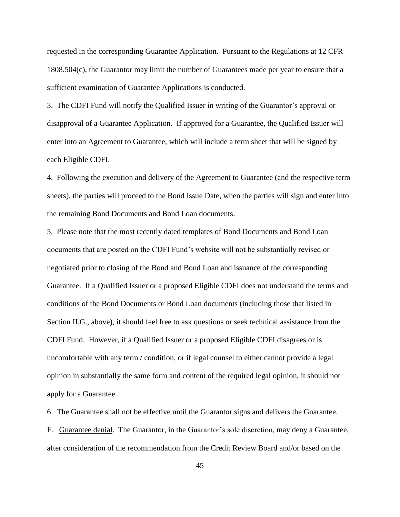requested in the corresponding Guarantee Application. Pursuant to the Regulations at 12 CFR 1808.504(c), the Guarantor may limit the number of Guarantees made per year to ensure that a sufficient examination of Guarantee Applications is conducted.

3. The CDFI Fund will notify the Qualified Issuer in writing of the Guarantor's approval or disapproval of a Guarantee Application. If approved for a Guarantee, the Qualified Issuer will enter into an Agreement to Guarantee, which will include a term sheet that will be signed by each Eligible CDFI.

4. Following the execution and delivery of the Agreement to Guarantee (and the respective term sheets), the parties will proceed to the Bond Issue Date, when the parties will sign and enter into the remaining Bond Documents and Bond Loan documents.

5. Please note that the most recently dated templates of Bond Documents and Bond Loan documents that are posted on the CDFI Fund's website will not be substantially revised or negotiated prior to closing of the Bond and Bond Loan and issuance of the corresponding Guarantee. If a Qualified Issuer or a proposed Eligible CDFI does not understand the terms and conditions of the Bond Documents or Bond Loan documents (including those that listed in Section II.G., above), it should feel free to ask questions or seek technical assistance from the CDFI Fund. However, if a Qualified Issuer or a proposed Eligible CDFI disagrees or is uncomfortable with any term / condition, or if legal counsel to either cannot provide a legal opinion in substantially the same form and content of the required legal opinion, it should not apply for a Guarantee.

6. The Guarantee shall not be effective until the Guarantor signs and delivers the Guarantee.

F. Guarantee denial. The Guarantor, in the Guarantor's sole discretion, may deny a Guarantee, after consideration of the recommendation from the Credit Review Board and/or based on the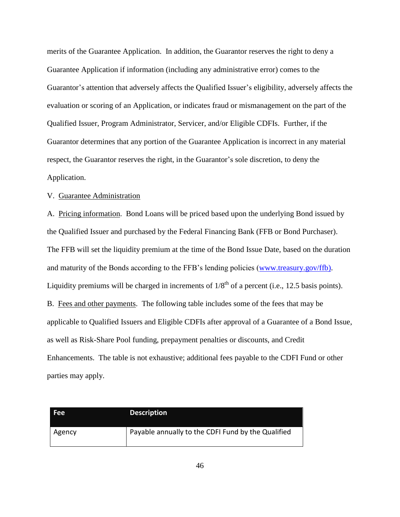merits of the Guarantee Application. In addition, the Guarantor reserves the right to deny a Guarantee Application if information (including any administrative error) comes to the Guarantor's attention that adversely affects the Qualified Issuer's eligibility, adversely affects the evaluation or scoring of an Application, or indicates fraud or mismanagement on the part of the Qualified Issuer, Program Administrator, Servicer, and/or Eligible CDFIs. Further, if the Guarantor determines that any portion of the Guarantee Application is incorrect in any material respect, the Guarantor reserves the right, in the Guarantor's sole discretion, to deny the Application.

## V. Guarantee Administration

A. Pricing information. Bond Loans will be priced based upon the underlying Bond issued by the Qualified Issuer and purchased by the Federal Financing Bank (FFB or Bond Purchaser). The FFB will set the liquidity premium at the time of the Bond Issue Date, based on the duration and maturity of the Bonds according to the FFB's lending policies [\(www.treasury.gov/ffb\)](http://www.treasury.gov/ffb). Liquidity premiums will be charged in increments of  $1/8<sup>th</sup>$  of a percent (i.e., 12.5 basis points). B. Fees and other payments. The following table includes some of the fees that may be applicable to Qualified Issuers and Eligible CDFIs after approval of a Guarantee of a Bond Issue, as well as Risk-Share Pool funding, prepayment penalties or discounts, and Credit Enhancements. The table is not exhaustive; additional fees payable to the CDFI Fund or other parties may apply.

| <b>Fee</b> | Description                                        |
|------------|----------------------------------------------------|
| Agency     | Payable annually to the CDFI Fund by the Qualified |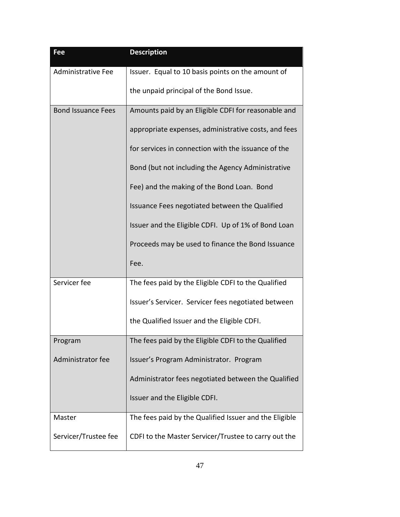| <b>Fee</b>                | <b>Description</b>                                     |  |  |  |
|---------------------------|--------------------------------------------------------|--|--|--|
| <b>Administrative Fee</b> | Issuer. Equal to 10 basis points on the amount of      |  |  |  |
|                           | the unpaid principal of the Bond Issue.                |  |  |  |
| <b>Bond Issuance Fees</b> | Amounts paid by an Eligible CDFI for reasonable and    |  |  |  |
|                           | appropriate expenses, administrative costs, and fees   |  |  |  |
|                           | for services in connection with the issuance of the    |  |  |  |
|                           | Bond (but not including the Agency Administrative      |  |  |  |
|                           | Fee) and the making of the Bond Loan. Bond             |  |  |  |
|                           | Issuance Fees negotiated between the Qualified         |  |  |  |
|                           | Issuer and the Eligible CDFI. Up of 1% of Bond Loan    |  |  |  |
|                           | Proceeds may be used to finance the Bond Issuance      |  |  |  |
|                           | Fee.                                                   |  |  |  |
| Servicer fee              | The fees paid by the Eligible CDFI to the Qualified    |  |  |  |
|                           | Issuer's Servicer. Servicer fees negotiated between    |  |  |  |
|                           | the Qualified Issuer and the Eligible CDFI.            |  |  |  |
| Program                   | The fees paid by the Eligible CDFI to the Qualified    |  |  |  |
| Administrator fee         | Issuer's Program Administrator. Program                |  |  |  |
|                           | Administrator fees negotiated between the Qualified    |  |  |  |
|                           | Issuer and the Eligible CDFI.                          |  |  |  |
| Master                    | The fees paid by the Qualified Issuer and the Eligible |  |  |  |
| Servicer/Trustee fee      | CDFI to the Master Servicer/Trustee to carry out the   |  |  |  |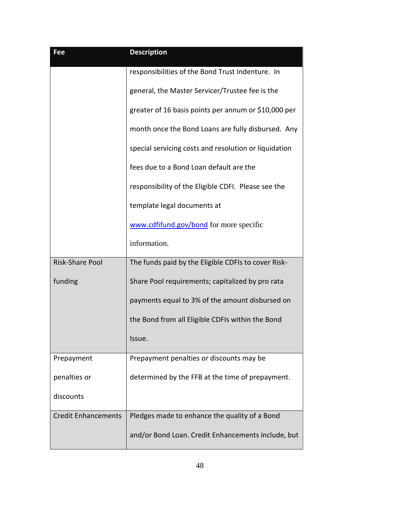| Fee                        | <b>Description</b>                                    |
|----------------------------|-------------------------------------------------------|
|                            | responsibilities of the Bond Trust Indenture. In      |
|                            | general, the Master Servicer/Trustee fee is the       |
|                            | greater of 16 basis points per annum or \$10,000 per  |
|                            | month once the Bond Loans are fully disbursed. Any    |
|                            | special servicing costs and resolution or liquidation |
|                            | fees due to a Bond Loan default are the               |
|                            | responsibility of the Eligible CDFI. Please see the   |
|                            | template legal documents at                           |
|                            | www.cdfifund.gov/bond for more specific               |
|                            | information.                                          |
| Risk-Share Pool            | The funds paid by the Eligible CDFIs to cover Risk-   |
| funding                    | Share Pool requirements; capitalized by pro rata      |
|                            | payments equal to 3% of the amount disbursed on       |
|                            | the Bond from all Eligible CDFIs within the Bond      |
|                            | <b>Issue</b>                                          |
| Prepayment                 | Prepayment penalties or discounts may be              |
| penalties or               | determined by the FFB at the time of prepayment.      |
| discounts                  |                                                       |
| <b>Credit Enhancements</b> | Pledges made to enhance the quality of a Bond         |
|                            | and/or Bond Loan. Credit Enhancements include, but    |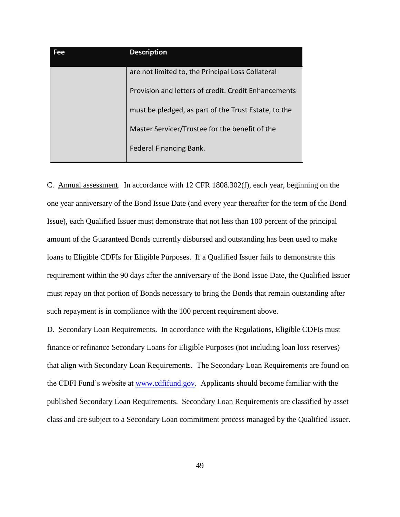| Fee | <b>Description</b>                                   |
|-----|------------------------------------------------------|
|     | are not limited to, the Principal Loss Collateral    |
|     | Provision and letters of credit. Credit Enhancements |
|     | must be pledged, as part of the Trust Estate, to the |
|     | Master Servicer/Trustee for the benefit of the       |
|     | <b>Federal Financing Bank.</b>                       |
|     |                                                      |

C. Annual assessment. In accordance with 12 CFR 1808.302(f), each year, beginning on the one year anniversary of the Bond Issue Date (and every year thereafter for the term of the Bond Issue), each Qualified Issuer must demonstrate that not less than 100 percent of the principal amount of the Guaranteed Bonds currently disbursed and outstanding has been used to make loans to Eligible CDFIs for Eligible Purposes. If a Qualified Issuer fails to demonstrate this requirement within the 90 days after the anniversary of the Bond Issue Date, the Qualified Issuer must repay on that portion of Bonds necessary to bring the Bonds that remain outstanding after such repayment is in compliance with the 100 percent requirement above.

D. Secondary Loan Requirements. In accordance with the Regulations, Eligible CDFIs must finance or refinance Secondary Loans for Eligible Purposes (not including loan loss reserves) that align with Secondary Loan Requirements. The Secondary Loan Requirements are found on the CDFI Fund's website at [www.cdfifund.gov.](http://www.cdfifund.gov/) Applicants should become familiar with the published Secondary Loan Requirements. Secondary Loan Requirements are classified by asset class and are subject to a Secondary Loan commitment process managed by the Qualified Issuer.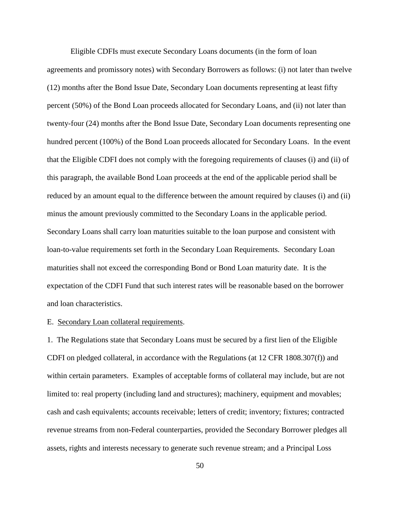Eligible CDFIs must execute Secondary Loans documents (in the form of loan agreements and promissory notes) with Secondary Borrowers as follows: (i) not later than twelve (12) months after the Bond Issue Date, Secondary Loan documents representing at least fifty percent (50%) of the Bond Loan proceeds allocated for Secondary Loans, and (ii) not later than twenty-four (24) months after the Bond Issue Date, Secondary Loan documents representing one hundred percent (100%) of the Bond Loan proceeds allocated for Secondary Loans. In the event that the Eligible CDFI does not comply with the foregoing requirements of clauses (i) and (ii) of this paragraph, the available Bond Loan proceeds at the end of the applicable period shall be reduced by an amount equal to the difference between the amount required by clauses (i) and (ii) minus the amount previously committed to the Secondary Loans in the applicable period. Secondary Loans shall carry loan maturities suitable to the loan purpose and consistent with loan-to-value requirements set forth in the Secondary Loan Requirements. Secondary Loan maturities shall not exceed the corresponding Bond or Bond Loan maturity date. It is the expectation of the CDFI Fund that such interest rates will be reasonable based on the borrower and loan characteristics.

# E. Secondary Loan collateral requirements.

1. The Regulations state that Secondary Loans must be secured by a first lien of the Eligible CDFI on pledged collateral, in accordance with the Regulations (at 12 CFR 1808.307(f)) and within certain parameters. Examples of acceptable forms of collateral may include, but are not limited to: real property (including land and structures); machinery, equipment and movables; cash and cash equivalents; accounts receivable; letters of credit; inventory; fixtures; contracted revenue streams from non-Federal counterparties, provided the Secondary Borrower pledges all assets, rights and interests necessary to generate such revenue stream; and a Principal Loss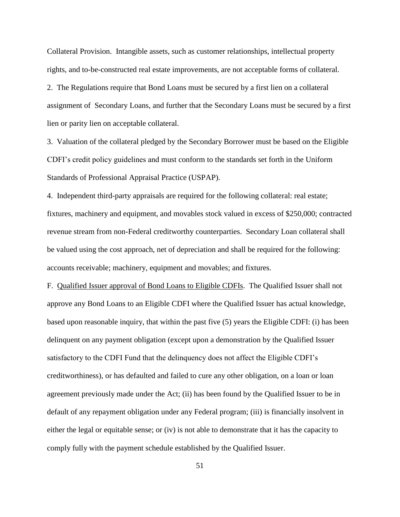Collateral Provision. Intangible assets, such as customer relationships, intellectual property rights, and to-be-constructed real estate improvements, are not acceptable forms of collateral. 2. The Regulations require that Bond Loans must be secured by a first lien on a collateral assignment of Secondary Loans, and further that the Secondary Loans must be secured by a first lien or parity lien on acceptable collateral.

3. Valuation of the collateral pledged by the Secondary Borrower must be based on the Eligible CDFI's credit policy guidelines and must conform to the standards set forth in the Uniform Standards of Professional Appraisal Practice (USPAP).

4. Independent third-party appraisals are required for the following collateral: real estate; fixtures, machinery and equipment, and movables stock valued in excess of \$250,000; contracted revenue stream from non-Federal creditworthy counterparties. Secondary Loan collateral shall be valued using the cost approach, net of depreciation and shall be required for the following: accounts receivable; machinery, equipment and movables; and fixtures.

F. Qualified Issuer approval of Bond Loans to Eligible CDFIs. The Qualified Issuer shall not approve any Bond Loans to an Eligible CDFI where the Qualified Issuer has actual knowledge, based upon reasonable inquiry, that within the past five (5) years the Eligible CDFI: (i) has been delinquent on any payment obligation (except upon a demonstration by the Qualified Issuer satisfactory to the CDFI Fund that the delinquency does not affect the Eligible CDFI's creditworthiness), or has defaulted and failed to cure any other obligation, on a loan or loan agreement previously made under the Act; (ii) has been found by the Qualified Issuer to be in default of any repayment obligation under any Federal program; (iii) is financially insolvent in either the legal or equitable sense; or (iv) is not able to demonstrate that it has the capacity to comply fully with the payment schedule established by the Qualified Issuer.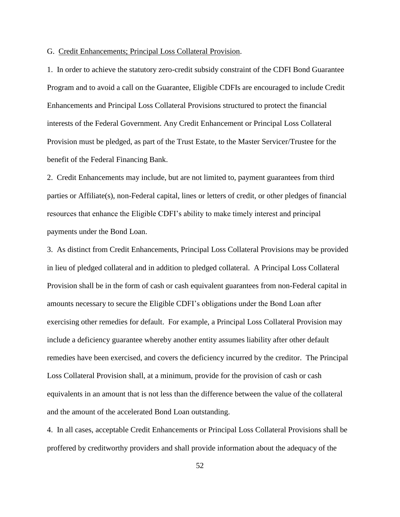#### G. Credit Enhancements; Principal Loss Collateral Provision.

1. In order to achieve the statutory zero-credit subsidy constraint of the CDFI Bond Guarantee Program and to avoid a call on the Guarantee, Eligible CDFIs are encouraged to include Credit Enhancements and Principal Loss Collateral Provisions structured to protect the financial interests of the Federal Government. Any Credit Enhancement or Principal Loss Collateral Provision must be pledged, as part of the Trust Estate, to the Master Servicer/Trustee for the benefit of the Federal Financing Bank.

2. Credit Enhancements may include, but are not limited to, payment guarantees from third parties or Affiliate(s), non-Federal capital, lines or letters of credit, or other pledges of financial resources that enhance the Eligible CDFI's ability to make timely interest and principal payments under the Bond Loan.

3. As distinct from Credit Enhancements, Principal Loss Collateral Provisions may be provided in lieu of pledged collateral and in addition to pledged collateral. A Principal Loss Collateral Provision shall be in the form of cash or cash equivalent guarantees from non-Federal capital in amounts necessary to secure the Eligible CDFI's obligations under the Bond Loan after exercising other remedies for default. For example, a Principal Loss Collateral Provision may include a deficiency guarantee whereby another entity assumes liability after other default remedies have been exercised, and covers the deficiency incurred by the creditor. The Principal Loss Collateral Provision shall, at a minimum, provide for the provision of cash or cash equivalents in an amount that is not less than the difference between the value of the collateral and the amount of the accelerated Bond Loan outstanding.

4. In all cases, acceptable Credit Enhancements or Principal Loss Collateral Provisions shall be proffered by creditworthy providers and shall provide information about the adequacy of the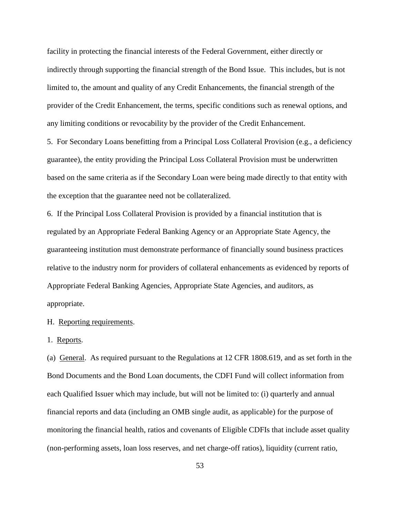facility in protecting the financial interests of the Federal Government, either directly or indirectly through supporting the financial strength of the Bond Issue. This includes, but is not limited to, the amount and quality of any Credit Enhancements, the financial strength of the provider of the Credit Enhancement, the terms, specific conditions such as renewal options, and any limiting conditions or revocability by the provider of the Credit Enhancement.

5. For Secondary Loans benefitting from a Principal Loss Collateral Provision (e.g., a deficiency guarantee), the entity providing the Principal Loss Collateral Provision must be underwritten based on the same criteria as if the Secondary Loan were being made directly to that entity with the exception that the guarantee need not be collateralized.

6. If the Principal Loss Collateral Provision is provided by a financial institution that is regulated by an Appropriate Federal Banking Agency or an Appropriate State Agency, the guaranteeing institution must demonstrate performance of financially sound business practices relative to the industry norm for providers of collateral enhancements as evidenced by reports of Appropriate Federal Banking Agencies, Appropriate State Agencies, and auditors, as appropriate.

# H. Reporting requirements.

1. Reports.

(a) General. As required pursuant to the Regulations at 12 CFR 1808.619, and as set forth in the Bond Documents and the Bond Loan documents, the CDFI Fund will collect information from each Qualified Issuer which may include, but will not be limited to: (i) quarterly and annual financial reports and data (including an OMB single audit, as applicable) for the purpose of monitoring the financial health, ratios and covenants of Eligible CDFIs that include asset quality (non-performing assets, loan loss reserves, and net charge-off ratios), liquidity (current ratio,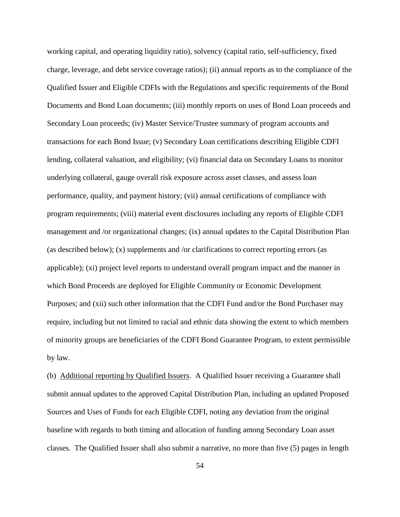working capital, and operating liquidity ratio), solvency (capital ratio, self-sufficiency, fixed charge, leverage, and debt service coverage ratios); (ii) annual reports as to the compliance of the Qualified Issuer and Eligible CDFIs with the Regulations and specific requirements of the Bond Documents and Bond Loan documents; (iii) monthly reports on uses of Bond Loan proceeds and Secondary Loan proceeds; (iv) Master Service/Trustee summary of program accounts and transactions for each Bond Issue; (v) Secondary Loan certifications describing Eligible CDFI lending, collateral valuation, and eligibility; (vi) financial data on Secondary Loans to monitor underlying collateral, gauge overall risk exposure across asset classes, and assess loan performance, quality, and payment history; (vii) annual certifications of compliance with program requirements; (viii) material event disclosures including any reports of Eligible CDFI management and /or organizational changes; (ix) annual updates to the Capital Distribution Plan (as described below); (x) supplements and /or clarifications to correct reporting errors (as applicable); (xi) project level reports to understand overall program impact and the manner in which Bond Proceeds are deployed for Eligible Community or Economic Development Purposes; and (xii) such other information that the CDFI Fund and/or the Bond Purchaser may require, including but not limited to racial and ethnic data showing the extent to which members of minority groups are beneficiaries of the CDFI Bond Guarantee Program, to extent permissible by law.

(b) Additional reporting by Qualified Issuers. A Qualified Issuer receiving a Guarantee shall submit annual updates to the approved Capital Distribution Plan, including an updated Proposed Sources and Uses of Funds for each Eligible CDFI, noting any deviation from the original baseline with regards to both timing and allocation of funding among Secondary Loan asset classes. The Qualified Issuer shall also submit a narrative, no more than five (5) pages in length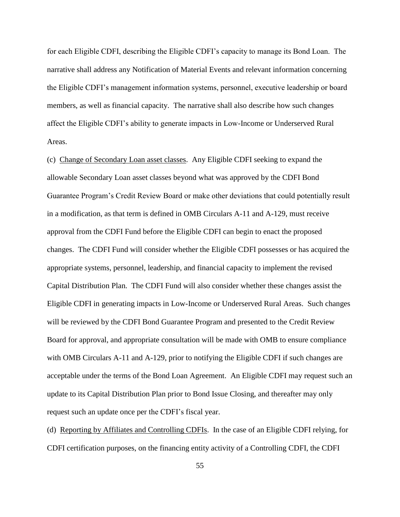for each Eligible CDFI, describing the Eligible CDFI's capacity to manage its Bond Loan. The narrative shall address any Notification of Material Events and relevant information concerning the Eligible CDFI's management information systems, personnel, executive leadership or board members, as well as financial capacity. The narrative shall also describe how such changes affect the Eligible CDFI's ability to generate impacts in Low-Income or Underserved Rural Areas.

(c) Change of Secondary Loan asset classes. Any Eligible CDFI seeking to expand the allowable Secondary Loan asset classes beyond what was approved by the CDFI Bond Guarantee Program's Credit Review Board or make other deviations that could potentially result in a modification, as that term is defined in OMB Circulars A-11 and A-129, must receive approval from the CDFI Fund before the Eligible CDFI can begin to enact the proposed changes. The CDFI Fund will consider whether the Eligible CDFI possesses or has acquired the appropriate systems, personnel, leadership, and financial capacity to implement the revised Capital Distribution Plan. The CDFI Fund will also consider whether these changes assist the Eligible CDFI in generating impacts in Low-Income or Underserved Rural Areas. Such changes will be reviewed by the CDFI Bond Guarantee Program and presented to the Credit Review Board for approval, and appropriate consultation will be made with OMB to ensure compliance with OMB Circulars A-11 and A-129, prior to notifying the Eligible CDFI if such changes are acceptable under the terms of the Bond Loan Agreement. An Eligible CDFI may request such an update to its Capital Distribution Plan prior to Bond Issue Closing, and thereafter may only request such an update once per the CDFI's fiscal year.

(d) Reporting by Affiliates and Controlling CDFIs. In the case of an Eligible CDFI relying, for CDFI certification purposes, on the financing entity activity of a Controlling CDFI, the CDFI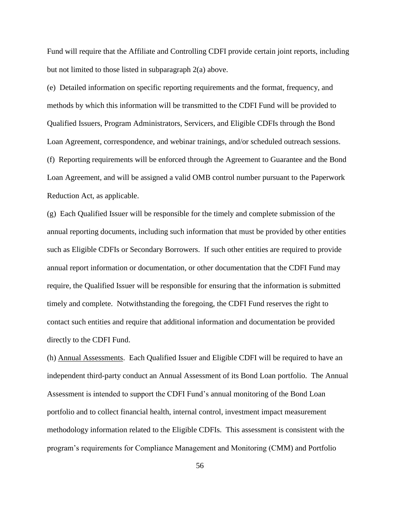Fund will require that the Affiliate and Controlling CDFI provide certain joint reports, including but not limited to those listed in subparagraph 2(a) above.

(e) Detailed information on specific reporting requirements and the format, frequency, and methods by which this information will be transmitted to the CDFI Fund will be provided to Qualified Issuers, Program Administrators, Servicers, and Eligible CDFIs through the Bond Loan Agreement, correspondence, and webinar trainings, and/or scheduled outreach sessions. (f) Reporting requirements will be enforced through the Agreement to Guarantee and the Bond Loan Agreement, and will be assigned a valid OMB control number pursuant to the Paperwork Reduction Act, as applicable.

(g) Each Qualified Issuer will be responsible for the timely and complete submission of the annual reporting documents, including such information that must be provided by other entities such as Eligible CDFIs or Secondary Borrowers. If such other entities are required to provide annual report information or documentation, or other documentation that the CDFI Fund may require, the Qualified Issuer will be responsible for ensuring that the information is submitted timely and complete. Notwithstanding the foregoing, the CDFI Fund reserves the right to contact such entities and require that additional information and documentation be provided directly to the CDFI Fund.

(h) Annual Assessments. Each Qualified Issuer and Eligible CDFI will be required to have an independent third-party conduct an Annual Assessment of its Bond Loan portfolio. The Annual Assessment is intended to support the CDFI Fund's annual monitoring of the Bond Loan portfolio and to collect financial health, internal control, investment impact measurement methodology information related to the Eligible CDFIs. This assessment is consistent with the program's requirements for Compliance Management and Monitoring (CMM) and Portfolio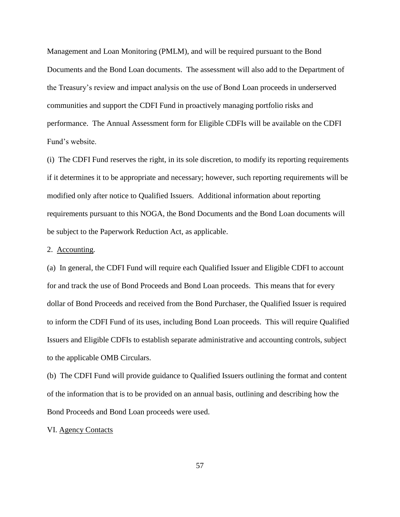Management and Loan Monitoring (PMLM), and will be required pursuant to the Bond Documents and the Bond Loan documents. The assessment will also add to the Department of the Treasury's review and impact analysis on the use of Bond Loan proceeds in underserved communities and support the CDFI Fund in proactively managing portfolio risks and performance. The Annual Assessment form for Eligible CDFIs will be available on the CDFI Fund's website.

(i) The CDFI Fund reserves the right, in its sole discretion, to modify its reporting requirements if it determines it to be appropriate and necessary; however, such reporting requirements will be modified only after notice to Qualified Issuers. Additional information about reporting requirements pursuant to this NOGA, the Bond Documents and the Bond Loan documents will be subject to the Paperwork Reduction Act, as applicable.

## 2. Accounting.

(a) In general, the CDFI Fund will require each Qualified Issuer and Eligible CDFI to account for and track the use of Bond Proceeds and Bond Loan proceeds. This means that for every dollar of Bond Proceeds and received from the Bond Purchaser, the Qualified Issuer is required to inform the CDFI Fund of its uses, including Bond Loan proceeds. This will require Qualified Issuers and Eligible CDFIs to establish separate administrative and accounting controls, subject to the applicable OMB Circulars.

(b) The CDFI Fund will provide guidance to Qualified Issuers outlining the format and content of the information that is to be provided on an annual basis, outlining and describing how the Bond Proceeds and Bond Loan proceeds were used.

#### VI. Agency Contacts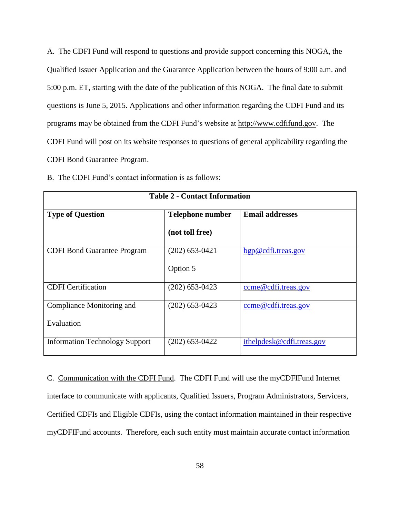A. The CDFI Fund will respond to questions and provide support concerning this NOGA, the Qualified Issuer Application and the Guarantee Application between the hours of 9:00 a.m. and 5:00 p.m. ET, starting with the date of the publication of this NOGA. The final date to submit questions is June 5, 2015. Applications and other information regarding the CDFI Fund and its programs may be obtained from the CDFI Fund's website at http://www.cdfifund.gov. The CDFI Fund will post on its website responses to questions of general applicability regarding the CDFI Bond Guarantee Program.

| <b>Table 2 - Contact Information</b>  |                         |                           |  |  |
|---------------------------------------|-------------------------|---------------------------|--|--|
| <b>Type of Question</b>               | <b>Telephone number</b> | <b>Email addresses</b>    |  |  |
|                                       | (not toll free)         |                           |  |  |
| <b>CDFI Bond Guarantee Program</b>    | $(202)$ 653-0421        | bgp@cdfi.treas.gov        |  |  |
|                                       | Option 5                |                           |  |  |
| <b>CDFI</b> Certification             | $(202)$ 653-0423        | ccme@cdfi.treas.gov       |  |  |
| Compliance Monitoring and             | $(202)$ 653-0423        | ccme@cdfi.treas.gov       |  |  |
| Evaluation                            |                         |                           |  |  |
| <b>Information Technology Support</b> | $(202)$ 653-0422        | ithelpdesk@cdfi.treas.gov |  |  |

B. The CDFI Fund's contact information is as follows:

C. Communication with the CDFI Fund. The CDFI Fund will use the myCDFIFund Internet interface to communicate with applicants, Qualified Issuers, Program Administrators, Servicers, Certified CDFIs and Eligible CDFIs, using the contact information maintained in their respective myCDFIFund accounts. Therefore, each such entity must maintain accurate contact information